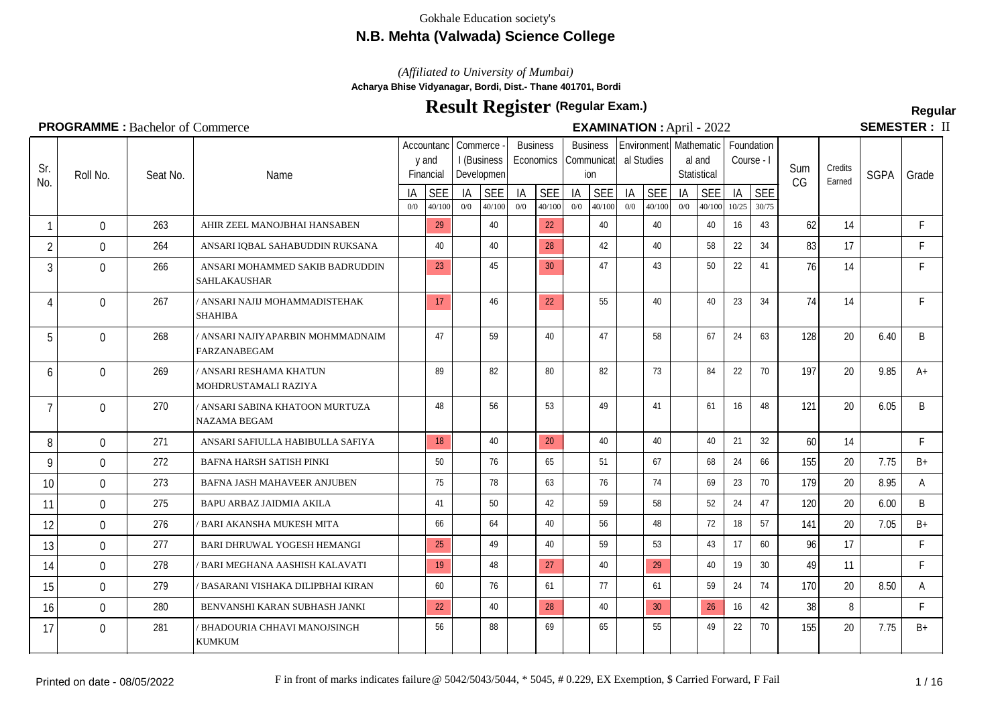## **N.B. Mehta (Valwada) Science College**

*(Affiliated to University of Mumbai)*

**Acharya Bhise Vidyanagar, Bordi, Dist.- Thane 401701, Bordi**

# **Result Register Regular (Regular Exam.)**

**SEMESTER: II** 

#### Seat No.  $\frac{1A}{0}$  SEE Name Accountanc | Commerce y and Financial I (Business Developmen  $\frac{1A}{0}$  SEE **Business Economics**  $\frac{1A}{00}$   $\frac{SEE}{40/100}$ Sum CG **Credits**  $\frac{C$ Farned SGPA Grade Business Communicat ion  $\frac{1A}{0}$  SEE Environment Mathematic Foundation al Studies  $\frac{1A}{0}$  SEE al and **Statistical**  $\frac{1A}{0}$  SEE Course - I  $\frac{1}{10^{25}} \frac{\text{SEE}}{\frac{30}{75}}$ 0/0 40/100 0/0 40/100 0/0 40/100 0/0 40/100 0/0 40/100 0/0 40/100 10/25 30/75 Sr.  $\begin{bmatrix} 31. \\ \text{N0.} \end{bmatrix}$  Roll No. 1 0 263 AHIR ZEEL MANOJBHAI HANSABEN 29 40 22 40 40 40 40 40 16 43 62 14 F 2 0 264 ANSARI IQBAL SAHABUDDIN RUKSANA 40 40 40  $\frac{28}{128}$  42 42 40 58 22 34 83 17 F 3 0 266 ANSARI MOHAMMED SAKIB BADRUDDIN 23 45 30 47 45 43 50 22 41 76 14 F SAHLAKAUSHAR 4 | 0 | 267 |/ANSARI NAJIJ MOHAMMADISTEHAK | <mark>| 17 |</mark> 146 | 122 | 155 | 160 | 160 | 23 | 34 | 74 | 14 | F SHAHIBA 5 | 0 | 268 |/ANSARI NAJIYAPARBIN MOHMMADNAIM | |47 | |59 | |40 | |47 | |58 | |67 |24 |63 | 128 | 20 | 6.40 | B FARZANABEGAM 6 / ANSARI RESHAMA KHATUN MOHDRUSTAMALI RAZIYA 0 269 89 82 80 82 73 84 22 70 197 20 9.85 A+ 7 | 0 | 270 |/ANSARI SABINA KHATOON MURTUZA | |48 | |56 | |53 | |49 | |41 | |61 |16 |48 | 121 | 20 | 6.05 | B NAZAMA BEGAM 8 0 271 ANSARI SAFIULLA HABIBULLA SAFIYA 18 40 20 40 40 40 40 40 21 32 60 14 F 9 0 272 BAFNA HARSH SATISH PINKI | 50 | 76 | 65 | 51 | 67 | 68 | 24 | 66 | 155 | 20 | 7.75 | B+ 10 0 273 BAFNA JASH MAHAVEER ANJUBEN | 75 | 78 | 63 | 76 | 74 | 69 | 23 | 70 | 179 | 20 | 8.95 | A 11 0 275 BAPU ARBAZ JAIDMIA AKILA | 41 | 50 | 42 | 59 | 58 | 52 | 24 | 47 | 120 | 20 | 6.00 | B 12 0 276 /BARI AKANSHA MUKESH MITA | 66 | 64 | 40 | 56 | 48 | 72 | 18 | 57 | 141 | 20 | 7.05 | B+ 13 0 277 BARI DHRUWAL YOGESH HEMANGI 25 49 40 59 53 43 17 60 96 17 14 0 278 / BARI MEGHANA AASHISH KALAVATI 19 48 27 40 29 40 30 49 11 F 15 0 279 / BASARANI VISHAKA DILIPBHAI KIRAN | 60 | 76 | 61 | 77 | 61 | 59 | 24 | 74 | 170 | 20 | 8.50 | A 16 0 280 BENVANSHI KARAN SUBHASH JANKI 22 40 38 40 30 30 26 16 42 38 8 F 17 0 281 BHADOURIA CHHAVI MANOJSINGH | 56 | 88 | 69 | 65 | 55 | 49 | 22 | 70 | 155 | 20 | 7.75 | B+ KUMKUM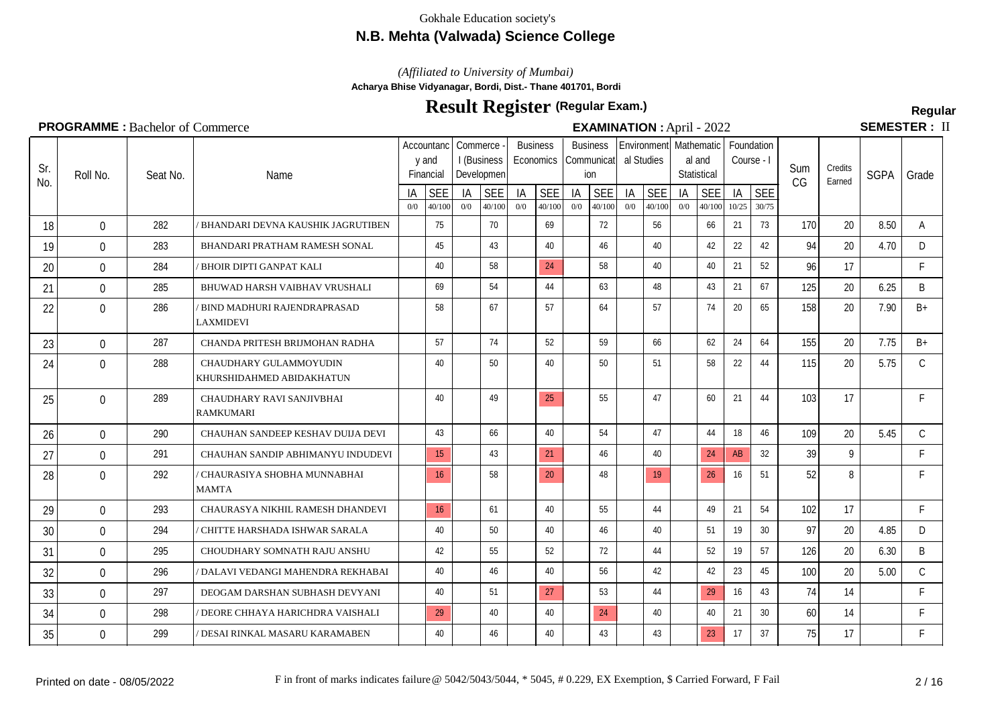## **N.B. Mehta (Valwada) Science College**

*(Affiliated to University of Mumbai)*

**Acharya Bhise Vidyanagar, Bordi, Dist.- Thane 401701, Bordi**

# **Result Register Regular (Regular Exam.)**

SEMESTER: II

| Sr.<br>No. | Roll No.     | Seat No. | Name                                                |           | Accountanc<br>y and<br>Financial | Commerce  | I (Business<br>Developmen |           | <b>Business</b><br>Economics |           | <b>Business</b><br>Communicatl<br>ion | al Studies | Environmentl Mathematic |           | al and<br>Statistical | Course - I  | Foundation          | Sum<br>CG | Credits<br>Earned | <b>SGPA</b> | Grade        |
|------------|--------------|----------|-----------------------------------------------------|-----------|----------------------------------|-----------|---------------------------|-----------|------------------------------|-----------|---------------------------------------|------------|-------------------------|-----------|-----------------------|-------------|---------------------|-----------|-------------------|-------------|--------------|
|            |              |          |                                                     | IA<br>0/0 | <b>SEE</b><br>40/100             | ΙA<br>0/0 | <b>SEE</b><br>40/100      | IA<br>0/0 | <b>SEE</b><br>40/100         | IA<br>0/0 | <b>SEE</b><br>40/100                  | IA<br>0/0  | <b>SEE</b><br>40/100    | IA<br>0/0 | <b>SEE</b><br>40/100  | IA<br>10/25 | <b>SEE</b><br>30/75 |           |                   |             |              |
| 18         | $\Omega$     | 282      | BHANDARI DEVNA KAUSHIK JAGRUTIBEN                   |           | 75                               |           | 70                        |           | 69                           |           | 72                                    |            | 56                      |           | 66                    | 21          | 73                  | 170       | 20                | 8.50        | A            |
| 19         | $\Omega$     | 283      | BHANDARI PRATHAM RAMESH SONAL                       |           | 45                               |           | 43                        |           | 40                           |           | 46                                    |            | 40                      |           | 42                    | 22          | 42                  | 94        | 20                | 4.70        | D            |
| 20         | 0            | 284      | BHOIR DIPTI GANPAT KALI                             |           | 40                               |           | 58                        |           | 24                           |           | 58                                    |            | 40                      |           | 40                    | 21          | 52                  | 96        | 17                |             | $\mathsf{F}$ |
| 21         | 0            | 285      | BHUWAD HARSH VAIBHAV VRUSHALI                       |           | 69                               |           | 54                        |           | 44                           |           | 63                                    |            | 48                      |           | 43                    | 21          | 67                  | 125       | 20                | 6.25        | B            |
| 22         | 0            | 286      | BIND MADHURI RAJENDRAPRASAD<br>LAXMIDEVI            |           | 58                               |           | 67                        |           | 57                           |           | 64                                    |            | 57                      |           | 74                    | 20          | 65                  | 158       | 20                | 7.90        | $B+$         |
| 23         | 0            | 287      | CHANDA PRITESH BRIJMOHAN RADHA                      |           | 57                               |           | 74                        |           | 52                           |           | 59                                    |            | 66                      |           | 62                    | 24          | 64                  | 155       | 20                | 7.75        | $B+$         |
| 24         | $\mathbf{0}$ | 288      | CHAUDHARY GULAMMOYUDIN<br>KHURSHIDAHMED ABIDAKHATUN |           | 40                               |           | 50                        |           | 40                           |           | 50                                    |            | 51                      |           | 58                    | 22          | 44                  | 115       | 20                | 5.75        | $\mathsf{C}$ |
| 25         | $\Omega$     | 289      | CHAUDHARY RAVI SANJIVBHAI<br><b>RAMKUMARI</b>       |           | 40                               |           | 49                        |           | 25                           |           | 55                                    |            | 47                      |           | 60                    | 21          | 44                  | 103       | 17                |             | F            |
| 26         | $\mathbf{0}$ | 290      | CHAUHAN SANDEEP KESHAV DUIJA DEVI                   |           | 43                               |           | 66                        |           | 40                           |           | 54                                    |            | 47                      |           | 44                    | 18          | 46                  | 109       | 20                | 5.45        | $\mathsf{C}$ |
| 27         | 0            | 291      | CHAUHAN SANDIP ABHIMANYU INDUDEVI                   |           | 15                               |           | 43                        |           | 21                           |           | 46                                    |            | 40                      |           | 24                    | AB          | 32                  | 39        | 9                 |             | F            |
| 28         | 0            | 292      | CHAURASIYA SHOBHA MUNNABHAI<br><b>MAMTA</b>         |           | 16                               |           | 58                        |           | 20                           |           | 48                                    |            | 19                      |           | 26                    | 16          | 51                  | 52        | 8                 |             | E            |
| 29         | $\mathbf{0}$ | 293      | CHAURASYA NIKHIL RAMESH DHANDEVI                    |           | 16                               |           | 61                        |           | 40                           |           | 55                                    |            | 44                      |           | 49                    | 21          | 54                  | 102       | 17                |             | F            |
| 30         | $\mathbf{0}$ | 294      | CHITTE HARSHADA ISHWAR SARALA                       |           | 40                               |           | 50                        |           | 40                           |           | 46                                    |            | 40                      |           | 51                    | 19          | 30                  | 97        | 20                | 4.85        | D            |
| 31         | $\Omega$     | 295      | CHOUDHARY SOMNATH RAJU ANSHU                        |           | 42                               |           | 55                        |           | 52                           |           | 72                                    |            | 44                      |           | 52                    | 19          | 57                  | 126       | 20                | 6.30        | B            |
| 32         | $\mathbf{0}$ | 296      | / DALAVI VEDANGI MAHENDRA REKHABAI                  |           | 40                               |           | 46                        |           | 40                           |           | 56                                    |            | 42                      |           | 42                    | 23          | 45                  | 100       | 20                | 5.00        | $\mathsf{C}$ |
| 33         | 0            | 297      | DEOGAM DARSHAN SUBHASH DEVYANI                      |           | 40                               |           | 51                        |           | 27                           |           | 53                                    |            | 44                      |           | 29                    | 16          | 43                  | 74        | 14                |             | F            |
| 34         | $\mathbf{0}$ | 298      | ' DEORE CHHAYA HARICHDRA VAISHALI                   |           | 29                               |           | 40                        |           | 40                           |           | 24                                    |            | 40                      |           | 40                    | 21          | 30 <sup>°</sup>     | 60        | 14                |             | F            |
| 35         | 0            | 299      | ' DESAI RINKAL MASARU KARAMABEN                     |           | 40                               |           | 46                        |           | 40                           |           | 43                                    |            | 43                      |           | 23                    | 17          | 37                  | 75        | 17                |             | F            |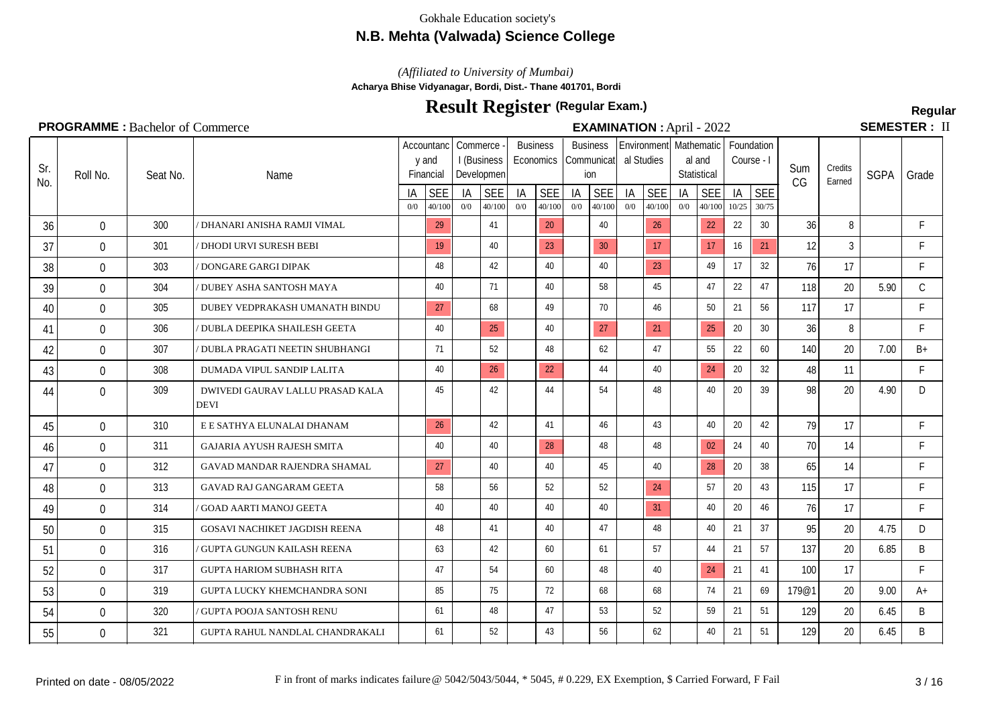## **N.B. Mehta (Valwada) Science College**

*(Affiliated to University of Mumbai)*

**Acharya Bhise Vidyanagar, Bordi, Dist.- Thane 401701, Bordi**

# **Result Register Regular (Regular Exam.)**

**SEMESTER: II** 

#### **PROGRAMME :** Bachelor of Commerce **EXAMINATION** : April - 2022

#### Seat No.  $\frac{1A}{0}$  SEE Name Accountanc | Commerce y and Financial I (Business Developmen  $\frac{1A}{0}$  SEE **Business Economics**  $\frac{1A}{00}$   $\frac{SEE}{40/100}$ Sum CG **Credits**  $\frac{C$ Farned SGPA Grade **Business** Communicat ion  $\frac{1A}{0}$  SEE Environment Mathematic Foundation al Studies  $\frac{1A}{0}$  SEE al and **Statistical**  $\frac{1A}{0}$  SEE Course - I  $\frac{1}{10^{25}} \frac{\text{SEE}}{\frac{30}{75}}$ 0/0 40/100 0/0 40/100 0/0 40/100 0/0 40/100 0/0 40/100 0/0 40/100 10/25 30/75 Sr.  $\begin{bmatrix} 31. \\ \text{N0.} \end{bmatrix}$  Roll No. 36 0 300 / DHANARI ANISHA RAMJI VIMAL 29 41 20 40 40 26 22 22 30 36 8 F 37 0 301 DHODI URVI SURESH BEBI 19 40 23 30 17 17 16 21 12 3 F 38 0 303 /DONGARE GARGI DIPAK | 48 42 40 40 40 23 49 17 32 76 17 F 39 0 304 *| DUBEY ASHA SANTOSH MAYA* | | 40 | | 71 | | 40 | | 58 | | 45 | | 47 | 22 | 47 | 118 | 20 | 5.90 | C 40 0 305 DUBEY VEDPRAKASH UMANATH BINDU 27 68 49 70 46 50 21 56 21 56 117 17 41 0 306 / DUBLA DEEPIKA SHAILESH GEETA | 40 25 40 27 27 27 28 20 30 36 8 F 42 0 307 / DUBLA PRAGATI NEETIN SHUBHANGI | 71 | 52 | 48 | 62 | 47 | 55 | 22 | 60 | 140 | 20 | 7.00 | B+ 43 0 308 DUMADA VIPUL SANDIP LALITA | 40 26 26 44 44 40 22 4 20 32 48 11 F 44 0 309 DWIVEDI GAURAV LALLU PRASAD KALA | 45 | 42 | 44 | 54 | 48 | 48 | 40 | 20 | 39 | 98 | 20 | 4.90 | D DEVI 45 0 310 E E SATHYA ELUNALAI DHANAM 26 42 42 41 46 46 43 40 20 42 79 17 46 0 311 GAJARIA AYUSH RAJESH SMITA | 40 | 40 | 28 | 48 | 48 | 02 | 24 | 40 | 70 | 14 | F 47 0 312 GAVAD MANDAR RAJENDRA SHAMAL 27 40 40 45 40 45 40 28 20 38 65 14 48 0 313 GAVAD RAJ GANGARAM GEETA | 58 | 56 | 52 | 52 | 24 | 57 | 20 | 43 | 115 | 17 | F 49 0 314 GOAD AARTI MANOJ GEETA | 40 | 40 | 40 | 40 | 31 | 40 | 20 | 46 | 76 | 17 | F 50 0 315 GOSAVI NACHIKET JAGDISH REENA | 48 41 40 47 48 47 48 48 40 21 37 95 20 4.75 D 51 0 316 / GUPTA GUNGUN KAILASH REENA | 63 | 42 | 60 | 61 | 57 | 44 | 21 | 57 | 137 | 20 | 6.85 | B 52 0 317 GUPTA HARIOM SUBHASH RITA | 47 | 54 | 60 | 48 | 40 | 24 21 | 41 | 100 17 | F 53 0 319 GUPTA LUCKY KHEMCHANDRA SONI | 85 | 75 | 72 | 68 | 68 | 74 | 21 | 69 | 179@1 | 20 | 9.00 | A+ 54 0 320 / GUPTA POOJA SANTOSH RENU | 61 | 48 | 47 | 53 | 52 | 59 | 21 | 51 | 129 | 20 | 6.45 | B 55 0 321 GUPTA RAHUL NANDLAL CHANDRAKALI 61 52 43 56 62 62 40 21 51 129 20 6.45 B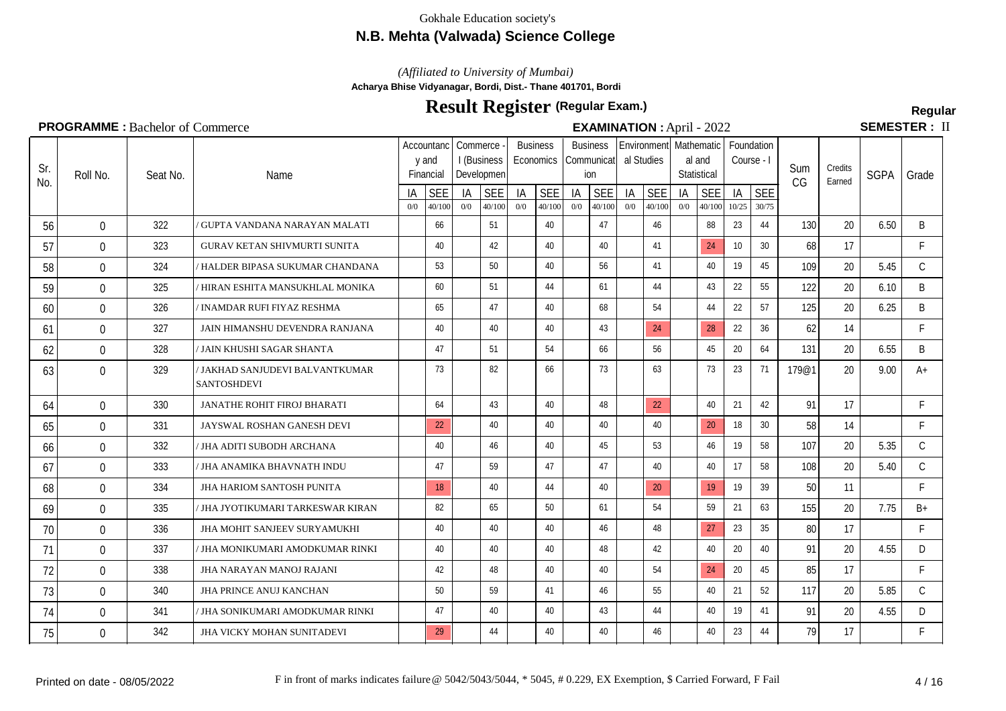## **N.B. Mehta (Valwada) Science College**

*(Affiliated to University of Mumbai)*

**Acharya Bhise Vidyanagar, Bordi, Dist.- Thane 401701, Bordi**

# **Result Register Regular (Regular Exam.)**

**SEMESTER: II** 

## **PROGRAMME :** Bachelor of Commerce **EXAMINATION Semi- EXAMINATION April** - 2022

|     |                | $\bullet$ is $\bullet$ in the FD action of Common $\circ$ |                                                       |           |                                  |           |                                         |           |                                                        |           | $\blacksquare$         |           |                      |           |                                                     |             |                          |       |         |             |               |
|-----|----------------|-----------------------------------------------------------|-------------------------------------------------------|-----------|----------------------------------|-----------|-----------------------------------------|-----------|--------------------------------------------------------|-----------|------------------------|-----------|----------------------|-----------|-----------------------------------------------------|-------------|--------------------------|-------|---------|-------------|---------------|
| Sr. | Roll No.       | Seat No.                                                  | Name                                                  |           | Accountanc<br>y and<br>Financial |           | Commerce -<br>I (Business<br>Developmen |           | <b>Business</b><br>Economics   Communicat   al Studies |           | <b>Business</b><br>ion |           |                      |           | Environment   Mathematic  <br>al and<br>Statistical |             | Foundation<br>Course - I | Sum   | Credits | <b>SGPA</b> | Grade         |
| No. |                |                                                           |                                                       | IA<br>0/0 | <b>SEE</b><br>40/100             | IA<br>0/0 | <b>SEE</b><br>40/100                    | IA<br>0/0 | <b>SEE</b><br>40/100                                   | IA<br>0/0 | <b>SEE</b><br>40/100   | IA<br>0/0 | <b>SEE</b><br>40/100 | IA<br>0/0 | <b>SEE</b><br>40/100                                | IA<br>10/25 | <b>SEE</b><br>30/75      | CG    | Earned  |             |               |
| 56  | $\mathbf 0$    | 322                                                       | GUPTA VANDANA NARAYAN MALATI                          |           | 66                               |           | 51                                      |           | 40                                                     |           | 47                     |           | 46                   |           | 88                                                  | 23          | 44                       | 130   | 20      | 6.50        | B             |
| 57  | $\mathbf{0}$   | 323                                                       | <b>GURAV KETAN SHIVMURTI SUNITA</b>                   |           | 40                               |           | 42                                      |           | 40                                                     |           | 40                     |           | 41                   |           | 24                                                  | 10          | 30                       | 68    | 17      |             | F.            |
| 58  | $\overline{0}$ | 324                                                       | HALDER BIPASA SUKUMAR CHANDANA                        |           | 53                               |           | 50                                      |           | 40                                                     |           | 56                     |           | 41                   |           | 40                                                  | 19          | 45                       | 109   | 20      | 5.45        | $\mathsf{C}$  |
| 59  | $\mathbf{0}$   | 325                                                       | ' HIRAN ESHITA MANSUKHLAL MONIKA                      |           | 60                               |           | 51                                      |           | 44                                                     |           | 61                     |           | 44                   |           | 43                                                  | 22          | 55                       | 122   | 20      | 6.10        | B             |
| 60  | $\mathbf 0$    | 326                                                       | INAMDAR RUFI FIYAZ RESHMA                             |           | 65                               |           | 47                                      |           | 40                                                     |           | 68                     |           | 54                   |           | 44                                                  | 22          | 57                       | 125   | 20      | 6.25        | B             |
| 61  | $\mathbf 0$    | 327                                                       | JAIN HIMANSHU DEVENDRA RANJANA                        |           | 40                               |           | 40                                      |           | 40                                                     |           | 43                     |           | 24                   |           | 28                                                  | 22          | 36                       | 62    | 14      |             | F.            |
| 62  | 0              | 328                                                       | / JAIN KHUSHI SAGAR SHANTA                            |           | 47                               |           | 51                                      |           | 54                                                     |           | 66                     |           | 56                   |           | 45                                                  | 20          | 64                       | 131   | 20      | 6.55        | B             |
| 63  | $\mathbf 0$    | 329                                                       | / JAKHAD SANJUDEVI BALVANTKUMAR<br><b>SANTOSHDEVI</b> |           | 73                               |           | 82                                      |           | 66                                                     |           | 73                     |           | 63                   |           | 73                                                  | 23          | 71                       | 179@1 | 20      | 9.00        | $A+$          |
| 64  | $\overline{0}$ | 330                                                       | JANATHE ROHIT FIROJ BHARATI                           |           | 64                               |           | 43                                      |           | 40                                                     |           | 48                     |           | 22                   |           | 40                                                  | 21          | 42                       | 91    | 17      |             | F             |
| 65  | $\mathbf{0}$   | 331                                                       | JAYSWAL ROSHAN GANESH DEVI                            |           | 22                               |           | 40                                      |           | 40                                                     |           | 40                     |           | 40                   |           | 20                                                  | 18          | 30 <sup>°</sup>          | 58    | 14      |             | F             |
| 66  | $\mathbf{0}$   | 332                                                       | / JHA ADITI SUBODH ARCHANA                            |           | 40                               |           | 46                                      |           | 40                                                     |           | 45                     |           | 53                   |           | 46                                                  | 19          | 58                       | 107   | 20      | 5.35        | $\mathcal{C}$ |
| 67  | $\overline{0}$ | 333                                                       | JHA ANAMIKA BHAVNATH INDU                             |           | 47                               |           | 59                                      |           | 47                                                     |           | 47                     |           | 40                   |           | 40                                                  | 17          | 58                       | 108   | 20      | 5.40        | $\mathsf{C}$  |
| 68  | $\Omega$       | 334                                                       | JHA HARIOM SANTOSH PUNITA                             |           | 18                               |           | 40                                      |           | 44                                                     |           | 40                     |           | 20                   |           | 19                                                  | 19          | 39                       | 50    | 11      |             | F             |
| 69  | $\mathbf 0$    | 335                                                       | / JHA JYOTIKUMARI TARKESWAR KIRAN                     |           | 82                               |           | 65                                      |           | 50                                                     |           | 61                     |           | 54                   |           | 59                                                  | 21          | 63                       | 155   | 20      | 7.75        | $B+$          |
| 70  | $\overline{0}$ | 336                                                       | JHA MOHIT SANJEEV SURYAMUKHI                          |           | 40                               |           | 40                                      |           | 40                                                     |           | 46                     |           | 48                   |           | 27                                                  | 23          | 35                       | 80    | 17      |             | F.            |
| 71  | $\mathbf{0}$   | 337                                                       | / JHA MONIKUMARI AMODKUMAR RINKI                      |           | 40                               |           | 40                                      |           | 40                                                     |           | 48                     |           | 42                   |           | 40                                                  | 20          | 40                       | 91    | 20      | 4.55        | D             |
| 72  | $\mathbf{0}$   | 338                                                       | JHA NARAYAN MANOJ RAJANI                              |           | 42                               |           | 48                                      |           | 40                                                     |           | 40                     |           | 54                   |           | 24                                                  | 20          | 45                       | 85    | 17      |             | F.            |
| 73  | $\mathbf 0$    | 340                                                       | <b>JHA PRINCE ANUJ KANCHAN</b>                        |           | 50                               |           | 59                                      |           | 41                                                     |           | 46                     |           | 55                   |           | 40                                                  | 21          | 52                       | 117   | 20      | 5.85        | C             |

74 0 341 JIHA SONIKUMARI AMODKUMAR RINKI | 47 | 40 | 40 | 43 | 44 | 40 | 19 | 41 | 91 | 20 | 4.55 | D 75 0 342 J JHA VICKY MOHAN SUNITADEVI 29 44 4 40 40 40 46 46 46 23 44 79 17 F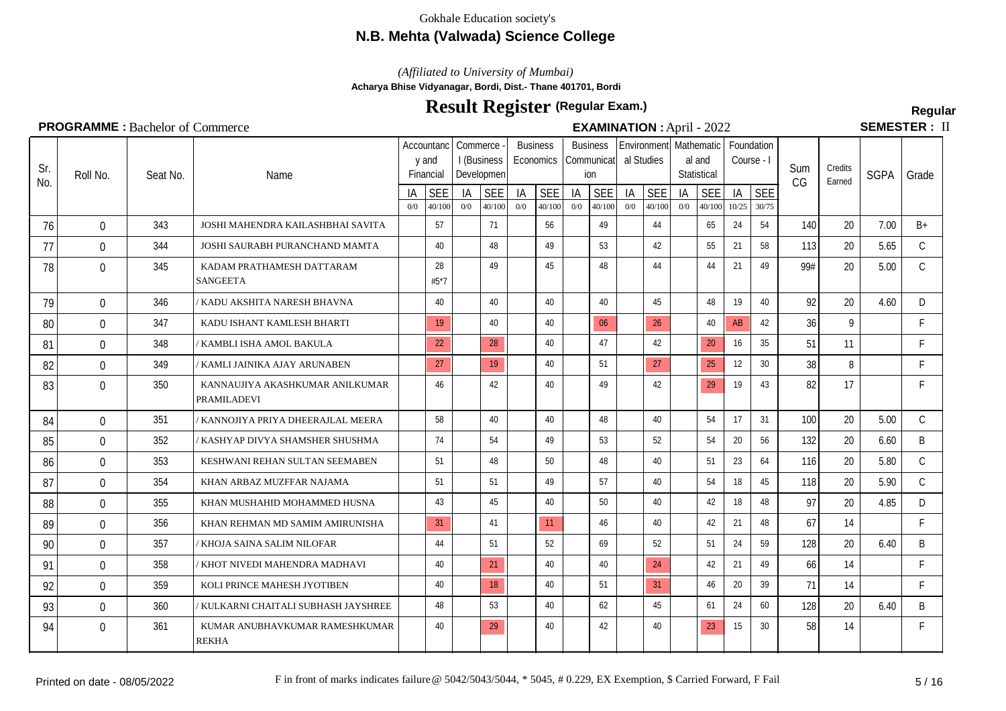## **N.B. Mehta (Valwada) Science College**

*(Affiliated to University of Mumbai)*

**Acharya Bhise Vidyanagar, Bordi, Dist.- Thane 401701, Bordi**

# **Result Register Regular (Regular Exam.)**

**SEMESTER: II** 

#### Seat No.  $\frac{1A}{0}$  SEE Name Accountanc | Commerce y and Financial I (Business Developmen  $\frac{1A}{0}$  SEE **Business Economics**  $\frac{1A}{00}$   $\frac{SEE}{40/100}$ Sum CG **Credits**  $\frac{C$ Farned SGPA Grade **Business** Communicat ion  $\frac{1A}{0}$  SEE Environment Mathematic Foundation al Studies  $\frac{1A}{0}$  SEE al and **Statistical**  $\frac{1A}{0}$  SEE Course - I  $\frac{1}{10^{25}} \frac{\text{SEE}}{\frac{30}{75}}$ 0/0 40/100 0/0 40/100 0/0 40/100 0/0 40/100 0/0 40/100 0/0 40/100 10/25 30/75 Sr.  $\begin{bmatrix} 31. \\ \text{N0.} \end{bmatrix}$  Roll No. 76 0 343 JOSHI MAHENDRA KAILASHBHAI SAVITA 57 171 56 49 49 44 65 24 54 140 20 7.00 B+ 77 0 344 J JOSHI SAURABH PURANCHAND MAMTA | 40 | 48 | 49 | 53 | 42 | 55 | 21 | 58 | 113 | 20 | 5.65 | C 78 | 0 | 345 |KADAM PRATHAMESH DATTARAM | 28 | 49 | 45 | 48 | 44 | 44 | 21 | 49 | 99# | 20 | 5.00 | C SANGEETA 28 #5\*7 79 0 346 / KADU AKSHITA NARESH BHAVNA | 40 40 40 40 40 45 48 19 40 92 20 4.60 D 80 0 347 KADU ISHANT KAMLESH BHARTI 19 40 40 40 06 26 40 AB 42 36 9 F 81 0 348 / KAMBLI ISHA AMOL BAKULA 1 22 28 40 40 47 42 20 16 35 51 11 F 82 0 349 / KAMLI JAINIKA AJAY ARUNABEN 27 19 19 40 51 27 25 12 30 38 8 F 83 | 0 | 350 |KANNAUJIYA AKASHKUMAR ANILKUMAR | |46 | |42 | |40 | |49 | |42 | |29 |19 |43 | 82 | 17 | | F PRAMILADEVI 84 0 351 / KANNOJIYA PRIYA DHEERAJLAL MEERA | 58 40 40 48 40 48 40 54 17 31 100 20 5.00 C 85 0 352 / KASHYAP DIVYA SHAMSHER SHUSHMA | 74 | 54 | 49 | 53 | 52 | 54 | 20 | 56 | 132 | 20 | 6.60 | B 86 0 353 KESHWANI REHAN SULTAN SEEMABEN 1 51 48 50 48 40 40 51 23 64 116 20 5.80 C 87 0 354 KHAN ARBAZ MUZFFAR NAJAMA | 51 | 51 | 49 | 57 | 40 | 54 | 18 | 45 | 118 | 20 | 5.90 | C 88 0 355 KHAN MUSHAHID MOHAMMED HUSNA 43 45 45 40 50 40 40 42 18 48 97 20 4.85 D 89 0 356 KHAN REHMAN MD SAMIM AMIRUNISHA 31 41 11 46 46 40 42 21 48 67 14 F 90 0 357 /KHOJA SAINA SALIM NILOFAR | 44 51 52 69 52 51 24 59 128 20 6.40 B 91 0 358 / KHOT NIVEDI MAHENDRA MADHAVI | 40 | 21 | 40 | 40 | 24 | 42 | 21 | 49 | 66 | 14 | F 92 0 359 KOLI PRINCE MAHESH JYOTIBEN 1 40 18 40 51 31 46 20 39 71 14 93 0 360 XULKARNI CHAITALI SUBHASH JAYSHREE 48 53 40 62 45 45 61 24 60 128 20 6.40 B 94 0 361 KUMAR ANUBHAVKUMAR RAMESHKUMAR | 40 | 29 | 40 | 42 | 40 | 23 | 15 | 30 | 58 | 14 | F REKHA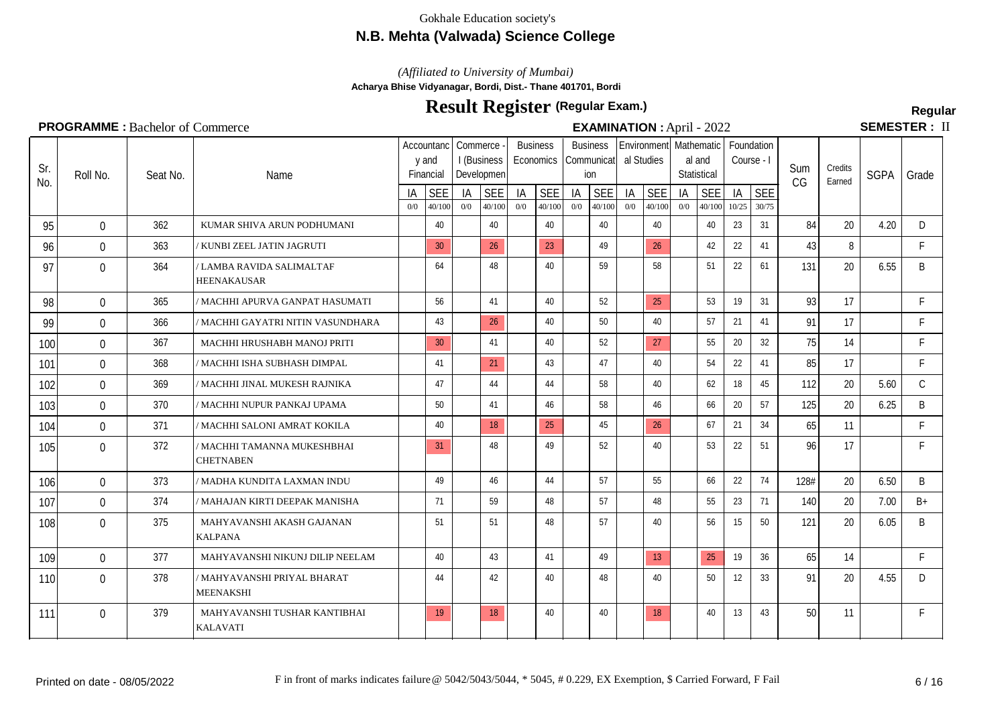## **N.B. Mehta (Valwada) Science College**

*(Affiliated to University of Mumbai)*

**Acharya Bhise Vidyanagar, Bordi, Dist.- Thane 401701, Bordi**

# **Result Register Regular (Regular Exam.)**

**SEMESTER: II** 

#### Seat No.  $\frac{1A}{0}$  SEE Name Accountanc | Commerce y and Financial I (Business Developmen  $\frac{1A}{0}$  SEE **Business Economics**  $\frac{1A}{00}$   $\frac{SEE}{40/100}$ Sum CG **Credits**  $\frac{C$ Farned SGPA Grade Business Communicat ion  $\frac{1A}{0}$  SEE Environment Mathematic Foundation al Studies  $\frac{|A|}{0}$  SEE al and **Statistical**  $\frac{1A}{0}$  SEE Course - I  $\frac{1}{10^{25}} \frac{\text{SEE}}{\frac{30}{75}}$ 0/0 40/100 0/0 40/100 0/0 40/100 0/0 40/100 0/0 40/100 0/0 40/100 10/25 30/75 Sr.  $\begin{bmatrix} 31. \\ \text{N0.} \end{bmatrix}$  Roll No. 95 0 362 KUMAR SHIVA ARUN PODHUMANI | 40 40 40 40 40 40 40 40 40 23 31 84 20 4.20 D 96 0 363 / KUNBI ZEEL JATIN JAGRUTI 1 30 26 23 49 26 26 42 22 41 43 8 F 97 0 364 / LAMBA RAVIDA SALIMALTAF HEENAKAUSAR 0 364 64 48 40 59 58 51 22 61 131 20 6.55 B 98 0 365 / MACHHI APURVA GANPAT HASUMATI | 56 | 41 | 40 | 52 | 25 | 53 | 19 | 31 | 93 | 17 | F 99 0 366 / MACHHI GAYATRI NITIN VASUNDHARA 143 26 40 50 40 50 40 57 21 41 91 17 F 100 0 367 |MACHHI HRUSHABH MANOJ PRITI | 30 | 41 | 40 | 52 | 27 | 55 | 20 | 32 | 75 | 14 | F 101 0 368 *|/* MACHHI ISHA SUBHASH DIMPAL | 41 | 21 | 43 | 47 | 40 | 54 | 22 | 41 | 85 | 17 | F 102 0 369 *|* MACHHI JINAL MUKESH RAJNIKA | 47 | 44 | 44 | 58 | 40 | 62 | 18 | 45 | 112 | 20 | 5.60 | C 103 0 370 / MACHHI NUPUR PANKAJ UPAMA 50 | 50 | 41 | 46 | 58 | 46 | 50 | 57 | 125 | 20 | 6.25 | B 104 0 371 |/MACHHI SALONI AMRAT KOKILA | 40 18 25 45 45 26 67 21 34 65 11 F 105 0 372 |/MACHHI TAMANNA MUKESHBHAI | 31 | 48 | 49 | 52 | 40 | 53 | 22 | 51 | 96 | 17 | F **CHETNABEN** 106 0 373 |/MADHA KUNDITA LAXMAN INDU | 49 | 46 | 44 | 57 | 55 | 66 | 22 | 74 | 128# | 20 | 6.50 | B 107 0 374 / MAHAJAN KIRTI DEEPAK MANISHA | | 71 | | 59 | | 48 | | 57 | | 48 | | 55 | 23 | 71 | 140 | 20 | 7.00 | B+ 108 0 375 |MAHYAVANSHI AKASH GAJANAN | | 51 | | 51 | | 48 | | 57 | | | 40 | | 56 | 15 | 50 | 121 | 20 | 6.05 | B KALPANA 109 0 377 | MAHYAVANSHI NIKUNJ DILIP NEELAM | 40 | 43 | 41 | 49 | 13 | 25 19 36 | 65 | 14 | F 110 0 378 |/MAHYAVANSHI PRIYAL BHARAT | | 44 | | 42 | | 40 | | 48 | | 40 | | 50 | 12 | 33 | 191 | 20 | 1.55 | D MEENAKSHI 111 0 379 MAHYAVANSHI TUSHAR KANTIBHAI | 19 18 40 40 40 18 40 13 43 50 11 F KALAVATI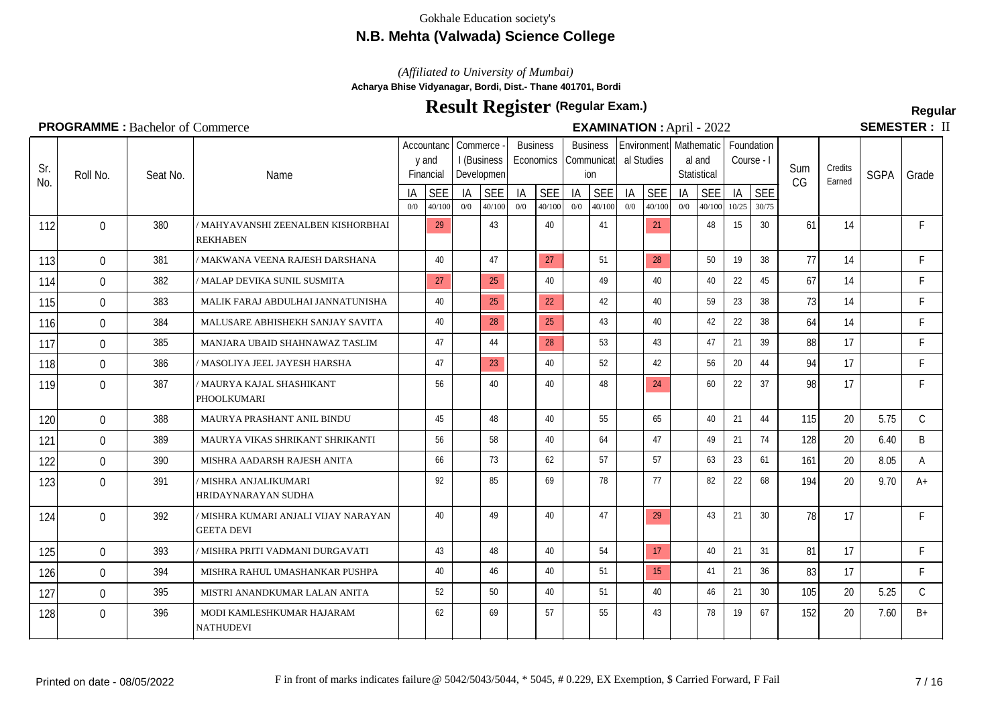## **N.B. Mehta (Valwada) Science College**

*(Affiliated to University of Mumbai)*

**Acharya Bhise Vidyanagar, Bordi, Dist.- Thane 401701, Bordi**

# **Result Register Regular (Regular Exam.)**

SEMESTER: II

## **PROGRAMME** : Bachelor of Commerce **EXAMINATION** : April - 2022

|     | <b>FINDUMARINING</b> . Bacticled of Committed Ce |          |                                                           |           |                                  |           |                                       |           |                              |           |                                      |           | <b>EAAMINATION</b> . APHI - $2022$   |           |                       |             |                     |     |                   | JLMLJILIV.  |              |
|-----|--------------------------------------------------|----------|-----------------------------------------------------------|-----------|----------------------------------|-----------|---------------------------------------|-----------|------------------------------|-----------|--------------------------------------|-----------|--------------------------------------|-----------|-----------------------|-------------|---------------------|-----|-------------------|-------------|--------------|
| Sr. | Roll No.                                         | Seat No. | Name                                                      |           | Accountanc<br>y and<br>Financial |           | Commerce<br>I (Business<br>Developmen |           | <b>Business</b><br>Economics |           | <b>Business</b><br>Communicat<br>ion |           | Environment Mathematic<br>al Studies |           | al and<br>Statistical | Course - I  | Foundation          | Sum | Credits<br>Earned | <b>SGPA</b> | Grade        |
| No. |                                                  |          |                                                           | IA<br>0/0 | <b>SEE</b><br>40/100             | IA<br>0/0 | <b>SEE</b><br>40/100                  | IA<br>0/0 | <b>SEE</b><br>40/100         | IA<br>0/0 | <b>SEE</b><br>40/100                 | IA<br>0/0 | <b>SEE</b><br>40/100                 | IA<br>0/0 | <b>SEE</b><br>40/100  | IA<br>10/25 | <b>SEE</b><br>30/75 | CG  |                   |             |              |
| 112 | $\Omega$                                         | 380      | / MAHYAVANSHI ZEENALBEN KISHORBHAI<br><b>REKHABEN</b>     |           | 29                               |           | 43                                    |           | 40                           |           | 41                                   |           | 21                                   |           | 48                    | 15          | 30                  | 61  | 14                |             | F.           |
| 113 | $\Omega$                                         | 381      | / MAKWANA VEENA RAJESH DARSHANA                           |           | 40                               |           | 47                                    |           | 27                           |           | 51                                   |           | 28                                   |           | 50                    | 19          | 38                  | 77  | 14                |             | F            |
| 114 | $\mathbf{0}$                                     | 382      | / MALAP DEVIKA SUNIL SUSMITA                              |           | 27                               |           | 25                                    |           | 40                           |           | 49                                   |           | 40                                   |           | 40                    | 22          | 45                  | 67  | 14                |             | F            |
| 115 | $\Omega$                                         | 383      | MALIK FARAJ ABDULHAI JANNATUNISHA                         |           | 40                               |           | 25                                    |           | 22                           |           | 42                                   |           | 40                                   |           | 59                    | 23          | 38                  | 73  | 14                |             | F            |
| 116 | $\Omega$                                         | 384      | MALUSARE ABHISHEKH SANJAY SAVITA                          |           | 40                               |           | 28                                    |           | 25                           |           | 43                                   |           | 40                                   |           | 42                    | 22          | 38                  | 64  | 14                |             | F            |
| 117 | $\Omega$                                         | 385      | MANJARA UBAID SHAHNAWAZ TASLIM                            |           | 47                               |           | 44                                    |           | 28                           |           | 53                                   |           | 43                                   |           | 47                    | 21          | 39                  | 88  | 17                |             | F            |
| 118 | $\mathbf{0}$                                     | 386      | / MASOLIYA JEEL JAYESH HARSHA                             |           | 47                               |           | 23                                    |           | 40                           |           | 52                                   |           | 42                                   |           | 56                    | 20          | 44                  | 94  | 17                |             | F.           |
| 119 | $\Omega$                                         | 387      | / MAURYA KAJAL SHASHIKANT<br>PHOOLKUMARI                  |           | 56                               |           | 40                                    |           | 40                           |           | 48                                   |           | 24                                   |           | 60                    | 22          | 37                  | 98  | 17                |             | F.           |
| 120 | $\mathbf 0$                                      | 388      | MAURYA PRASHANT ANIL BINDU                                |           | 45                               |           | 48                                    |           | 40                           |           | 55                                   |           | 65                                   |           | 40                    | 21          | 44                  | 115 | 20                | 5.75        | $\mathsf{C}$ |
| 121 | $\Omega$                                         | 389      | MAURYA VIKAS SHRIKANT SHRIKANTI                           |           | 56                               |           | 58                                    |           | 40                           |           | 64                                   |           | 47                                   |           | 49                    | 21          | 74                  | 128 | 20                | 6.40        | B            |
| 122 | $\mathbf 0$                                      | 390      | MISHRA AADARSH RAJESH ANITA                               |           | 66                               |           | 73                                    |           | 62                           |           | 57                                   |           | 57                                   |           | 63                    | 23          | 61                  | 161 | 20                | 8.05        | A            |
| 123 | $\Omega$                                         | 391      | / MISHRA ANJALIKUMARI<br>HRIDAYNARAYAN SUDHA              |           | 92                               |           | 85                                    |           | 69                           |           | 78                                   |           | 77                                   |           | 82                    | 22          | 68                  | 194 | 20                | 9.70        | $A+$         |
| 124 | $\Omega$                                         | 392      | / MISHRA KUMARI ANJALI VIJAY NARAYAN<br><b>GEETA DEVI</b> |           | 40                               |           | 49                                    |           | 40                           |           | 47                                   |           | 29                                   |           | 43                    | 21          | 30                  | 78  | 17                |             | F.           |
| 125 | $\Omega$                                         | 393      | / MISHRA PRITI VADMANI DURGAVATI                          |           | 43                               |           | 48                                    |           | 40                           |           | 54                                   |           | 17                                   |           | 40                    | 21          | 31                  | 81  | 17                |             | F.           |
| 126 | $\mathbf{0}$                                     | 394      | MISHRA RAHUL UMASHANKAR PUSHPA                            |           | 40                               |           | 46                                    |           | 40                           |           | 51                                   |           | 15                                   |           | 41                    | 21          | 36                  | 83  | 17                |             | F.           |
| 127 | $\Omega$                                         | 395      | MISTRI ANANDKUMAR LALAN ANITA                             |           | 52                               |           | 50                                    |           | 40                           |           | 51                                   |           | 40                                   |           | 46                    | 21          | 30                  | 105 | 20                | 5.25        | C            |

NATHUDEVI

128 0 396 MODI KAMLESHKUMAR HAJARAM | 62 | 69 | 57 | 55 | 43 | 78 | 19 | 67 | 152 | 20 | 7.60 | B+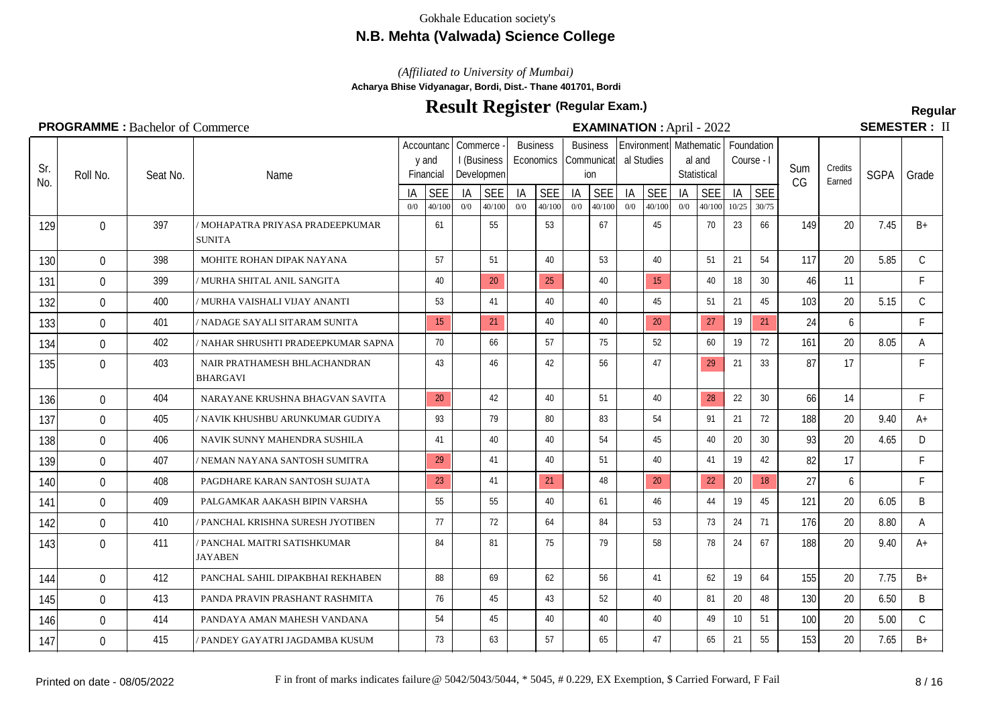## **N.B. Mehta (Valwada) Science College**

*(Affiliated to University of Mumbai)*

**Acharya Bhise Vidyanagar, Bordi, Dist.- Thane 401701, Bordi**

# **Result Register Regular (Regular Exam.)**

**SEMESTER: II** 

#### Seat No.  $\frac{1A}{0}$  SEE Name Accountanc | Commerce y and Financial I (Business Developmen  $\frac{1A}{0/0}$   $\frac{SEE}{40/100}$ Business **Economics**  $\frac{1A}{00}$   $\frac{SEE}{40/100}$ Sum CG **Credits**  $\frac{C$ Farned SGPA Grade **Business** Communicat ion  $I_A$  SEE Environment Mathematic Foundation al Studies  $\frac{1A}{0}$  SEE al and **Statistical**  $\frac{1A}{0}$  SEE Course - I  $\frac{1}{10/25} \frac{\text{SE}}{30/75}$ 0/0 40/100 0/0 40/100 0/0 40/100 0/0 40/100 0/0 40/100 0/0 40/100 10/25 30/75 Sr.  $\begin{bmatrix} 31. \\ \text{N0.} \end{bmatrix}$  Roll No. 129 0 397 |/MOHAPATRA PRIYASA PRADEEPKUMAR | 61 | 55 | 53 | 67 | 45 | 70 | 23 | 66 | 149 | 20 | 7.45 | B+ SUNITA 130 0 398 | MOHITE ROHAN DIPAK NAYANA | 57 | | 51 | | 40 | | 53 | | 40 | | 51 | 21 | 54 | 117 | 20 | 5.85 | C 131 0 399 *|* MURHA SHITAL ANIL SANGITA | 40 20 25 40 15 40 18 30 46 11 F 132 0 400 / MURHA VAISHALI VIJAY ANANTI | 53 | 41 | 40 | 40 | 45 | 51 | 21 | 45 | 103 | 20 | 5.15 | C 133 0 401 / NADAGE SAYALI SITARAM SUNITA 15 21 40 40 40 20 27 19 21 24 6 F 134 0 402 / NAHAR SHRUSHTI PRADEEPKUMAR SAPNA 70 66 57 75 52 60 19 72 161 20 8.05 A 135 0 403 NAIR PRATHAMESH BHLACHANDRAN | 43 | 46 | 42 | 56 | 47 | 29 | 21 | 33 | 87 | 17 | F BHARGAVI 136 0 404 NARAYANE KRUSHNA BHAGVAN SAVITA 20 42 42 40 51 40 38 22 30 66 14 F 137 0 405 /NAVIK KHUSHBU ARUNKUMAR GUDIYA | 93 | 79 | 80 | 83 | 54 | 91 | 21 | 72 | 188 | 20 | 9.40 | A+ 138 0 406 NAVIK SUNNY MAHENDRA SUSHILA | 41 | 40 | 40 | 54 | 45 | 40 | 20 | 30 | 93 | 20 | 4.65 | D 139 0 407 / NEMAN NAYANA SANTOSH SUMITRA 29 41 41 40 51 40 41 40 41 19 42 82 17 140 0 408 PAGDHARE KARAN SANTOSH SUJATA | 23 41 41 21 48 20 22 20 18 27 6 F 141 0 409 PALGAMKAR AAKASH BIPIN VARSHA | 55 | 55 | 40 | 61 | 46 | 44 | 19 | 45 | 121 | 20 | 6.05 | B 142 0 410 / PANCHAL KRISHNA SURESH JYOTIBEN 77 7 7 84 84 84 53 73 24 71 176 20 8.80 A 143 0 411 |/PANCHAL MAITRI SATISHKUMAR | 84 | 81 | 75 | 79 | 58 | 78 | 24 | 67 | 188 | 20 | 9.40 | A+ **JAYAREN** 144 0 412 PANCHAL SAHIL DIPAKBHAI REKHABEN 188 69 62 56 41 62 41 62 19 64 155 20 7.75 B+ 145 0 413 PANDA PRAVIN PRASHANT RASHMITA | 76 | 45 | 43 | 52 | 40 | 81 | 20 | 48 | 130 | 20 | 6.50 | B 146 0 414 PANDAYA AMAN MAHESH VANDANA | 54 | 45 | 40 | 40 | 40 | 49 | 10 | 51 | 100 | 20 | 5.00 | C 147 0 415 *| P*ANDEY GAYATRI JAGDAMBA KUSUM | 73 | 63 | 57 | 65 | 47 | 65 | 21 | 55 | 153 | 20 | 7.65 | B+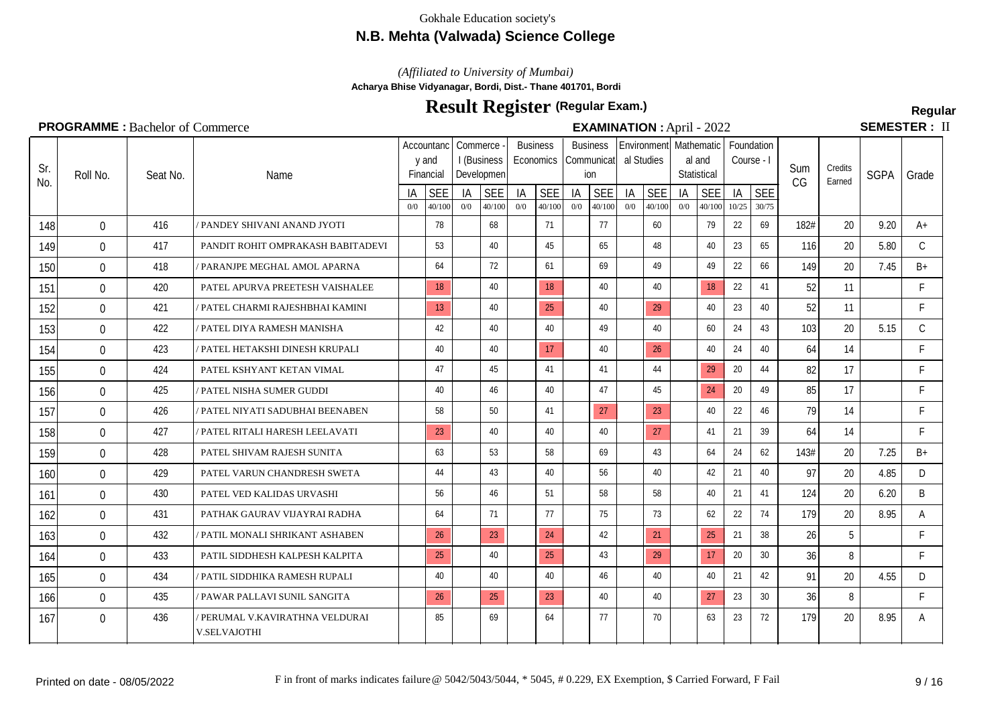## **N.B. Mehta (Valwada) Science College**

*(Affiliated to University of Mumbai)*

**Acharya Bhise Vidyanagar, Bordi, Dist.- Thane 401701, Bordi**

# **Result Register Regular (Regular Exam.)**

**SEMESTER: II** 

#### Seat No.  $\frac{1A}{0}$  SEE Name Accountanc | Commerce y and Financial I (Business Developmen  $\frac{1A}{0}$  SEE **Business Economics**  $\frac{1A}{00}$   $\frac{SEE}{40/100}$ Sum CG **Credits**  $\frac{C$ Farned SGPA Grade **Business** Communicat ion  $\frac{1A}{0}$  SEE Environment Mathematic Foundation al Studies  $\frac{1A}{0}$  SEE al and **Statistical**  $\frac{1A}{0}$  SEE Course - I  $\frac{1}{10^{25}} \frac{\text{SEE}}{\frac{30}{75}}$ 0/0 40/100 0/0 40/100 0/0 40/100 0/0 40/100 0/0 40/100 0/0 40/100 10/25 30/75  $\begin{bmatrix} 31. \\ \text{N0.} \end{bmatrix}$  Roll No. 148 0 416 / PANDEY SHIVANI ANAND JYOTI 1 78 68 71 71 70 60 79 22 69 182# 20 9.20 A+ 149 0 417 PANDIT ROHIT OMPRAKASH BABITADEVI 53 40 45 45 55 48 48 48 40 23 65 116 20 5.80 C 150 0 418 *|* PARANJPE MEGHAL AMOL APARNA | 64 | 72 | 61 | 69 | 49 | 49 | 22 | 66 | 149 | 20 | 7.45 | B+ 151 0 420 PATEL APURVA PREETESH VAISHALEE 1 8 40 18 40 18 40 18 22 41 52 11 F 152 0 421 *||* PATEL CHARMI RAJESHBHAI KAMINI || 13 40 || 25 || 40 || 129 || 40 || 23 || 40 || 52 || 11 || || F 153 0 422 *|* PATEL DIYA RAMESH MANISHA | 42 40 40 40 49 40 40 60 24 43 103 20 5.15 C 154 0 423 / PATEL HETAKSHI DINESH KRUPALI | 40 40 40 17 40 40 26 40 27 40 24 40 40 17 17 17 40 17 40 26 40 17 155 0 424 PATEL KSHYANT KETAN VIMAL | 47 | 45 | 41 | 41 | 44 | 29 20 | 44 | 82 | 17 | F 156 0 425 / PATEL NISHA SUMER GUDDI | 40 46 46 47 47 45 45 20 49 85 17 F 157 0 426 *||* PATEL NIYATI SADUBHAI BEENABEN | 58 | 50 | 41 | <mark>27 | 23</mark> | 40 | 22 | 46 | 79 | 14 | F 158 0 427 / PATEL RITALI HARESH LEELAVATI 23 40 40 40 40 40 27 41 21 39 64 14 F 159 0 428 PATEL SHIVAM RAJESH SUNITA | 63 | 53 | 58 | 69 | 43 | 64 | 24 | 62 | 143# | 20 | 7.25 | B+ 160 0 429 PATEL VARUN CHANDRESH SWETA | 44 | 43 | 40 | 56 | 40 | 42 | 21 | 40 | 97 | 20 | 4.85 | D 161 0 430 PATEL VED KALIDAS URVASHI | 56 | 46 | 51 | 58 | 58 | 40 | 21 | 41 | 124 | 20 | 6.20 | B 162 0 431 PATHAK GAURAV VIJAYRAI RADHA | 64 | 71 | 77 | 75 | 73 | 62 | 22 | 74 | 179 | 20 | 8.95 | A 163 0 432 / PATIL MONALI SHRIKANT ASHABEN 26 26 23 424 42 21 21 25 21 38 26 5 F 164 0 433 PATIL SIDDHESH KALPESH KALPITA | 25 | 40 | 25 | 43 | 29 | 17 | 20 | 30 | 36 | 8 | F 165 0 434 *|* PATIL SIDDHIKA RAMESH RUPALI | 40 40 40 40 40 46 46 40 40 40 40 21 42 91 20 4.55 D 166 0 435 *| P*AWAR PALLAVI SUNIL SANGITA | 26 25 23 40 40 40 27 23 30 36 8 F 167 0 | 436 |/PERUMAL V.KAVIRATHNA VELDURAI | | 85 | | 69 | | 64 | | 77 | | 70 | | 63 | 23 | 72 | 179 | 20 | 8.95 | A V.SELVAJOTHI

## **PROGRAMME :** Bachelor of Commerce **EXAMINATION** : April - 2022

Sr.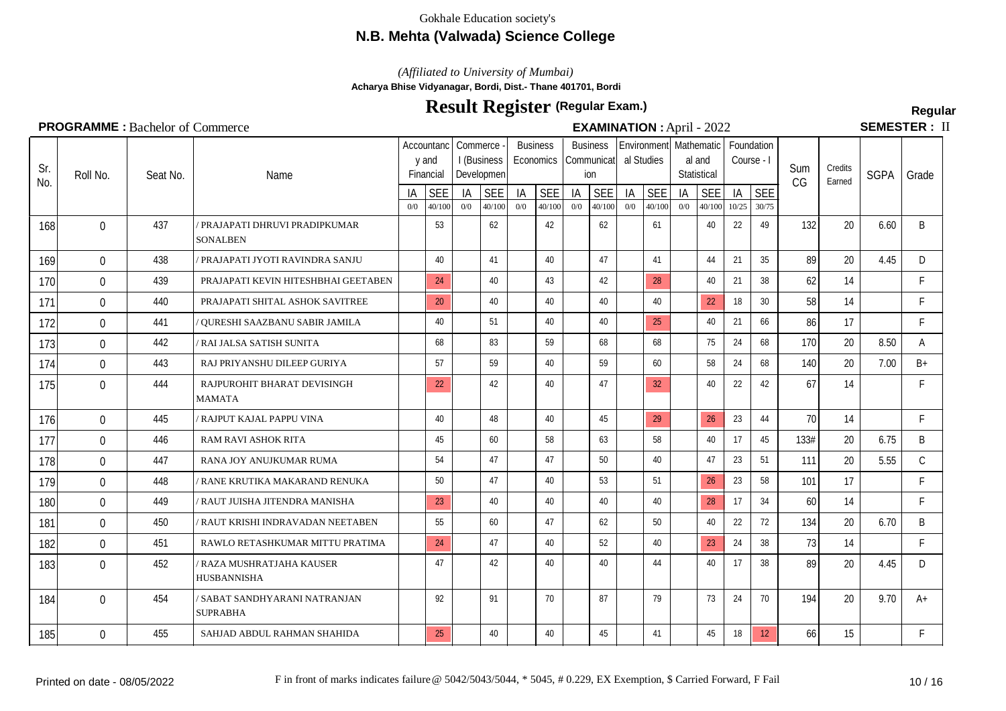## **N.B. Mehta (Valwada) Science College**

*(Affiliated to University of Mumbai)*

**Acharya Bhise Vidyanagar, Bordi, Dist.- Thane 401701, Bordi**

# **Result Register Regular (Regular Exam.)**

**SEMESTER: II** 

|  | <b>EXAMINATION : April - 2022</b> |  |
|--|-----------------------------------|--|

| Sr.<br>No. | Roll No.       | Seat No. | Name                                              |           | Accountanc<br>y and<br>Financial | Commerce  | I (Business<br>Developmen |           | <b>Business</b><br>Economics |           | <b>Business</b><br>Communicat<br>ion | al Studies | Environment   Mathematic |           | al and<br>Statistical | Course - I  | Foundation          | Sum<br>CG | Credits<br>Earned | <b>SGPA</b> | Grade        |
|------------|----------------|----------|---------------------------------------------------|-----------|----------------------------------|-----------|---------------------------|-----------|------------------------------|-----------|--------------------------------------|------------|--------------------------|-----------|-----------------------|-------------|---------------------|-----------|-------------------|-------------|--------------|
|            |                |          |                                                   | IA<br>0/0 | <b>SEE</b><br>40/100             | IA<br>0/0 | <b>SEE</b><br>40/100      | IA<br>0/0 | <b>SEE</b><br>40/100         | IA<br>0/0 | <b>SEE</b><br>40/100                 | IA<br>0/0  | <b>SEE</b><br>40/100     | IA<br>0/0 | <b>SEE</b><br>40/100  | IA<br>10/25 | <b>SEE</b><br>30/75 |           |                   |             |              |
| 168        | $\Omega$       | 437      | / PRAJAPATI DHRUVI PRADIPKUMAR<br><b>SONALBEN</b> |           | 53                               |           | 62                        |           | 42                           |           | 62                                   |            | 61                       |           | 40                    | 22          | 49                  | 132       | 20                | 6.60        | B            |
| 169        | $\Omega$       | 438      | PRAJAPATI JYOTI RAVINDRA SANJU                    |           | 40                               |           | 41                        |           | 40                           |           | 47                                   |            | 41                       |           | 44                    | 21          | 35                  | 89        | 20                | 4.45        | D            |
| 170        | $\mathbf{0}$   | 439      | PRAJAPATI KEVIN HITESHBHAI GEETABEN               |           | 24                               |           | 40                        |           | 43                           |           | 42                                   |            | 28                       |           | 40                    | 21          | 38                  | 62        | 14                |             | F.           |
| 171        | $\mathbf{0}$   | 440      | PRAJAPATI SHITAL ASHOK SAVITREE                   |           | 20                               |           | 40                        |           | 40                           |           | 40                                   |            | 40                       |           | 22                    | 18          | 30 <sup>°</sup>     | 58        | 14                |             | F.           |
| 172        | $\Omega$       | 441      | ' QURESHI SAAZBANU SABIR JAMILA                   |           | 40                               |           | 51                        |           | 40                           |           | 40                                   |            | 25                       |           | 40                    | 21          | 66                  | 86        | 17                |             | F.           |
| 173        | $\mathbf{0}$   | 442      | / RAI JALSA SATISH SUNITA                         |           | 68                               |           | 83                        |           | 59                           |           | 68                                   |            | 68                       |           | 75                    | 24          | 68                  | 170       | 20                | 8.50        | A            |
| 174        | $\Omega$       | 443      | RAJ PRIYANSHU DILEEP GURIYA                       |           | 57                               |           | 59                        |           | 40                           |           | 59                                   |            | 60                       |           | 58                    | 24          | 68                  | 140       | 20                | 7.00        | $B+$         |
| 175        | $\mathbf{0}$   | 444      | RAJPUROHIT BHARAT DEVISINGH<br><b>MAMATA</b>      |           | 22                               |           | 42                        |           | 40                           |           | 47                                   |            | 32                       |           | 40                    | 22          | 42                  | 67        | 14                |             | F.           |
| 176        | $\Omega$       | 445      | <b>RAJPUT KAJAL PAPPU VINA</b>                    |           | 40                               |           | 48                        |           | 40                           |           | 45                                   |            | 29                       |           | 26                    | 23          | 44                  | 70        | 14                |             | F            |
| 177        | $\mathbf 0$    | 446      | RAM RAVI ASHOK RITA                               |           | 45                               |           | 60                        |           | 58                           |           | 63                                   |            | 58                       |           | 40                    | 17          | 45                  | 133#      | 20                | 6.75        | B            |
| 178        | $\overline{0}$ | 447      | RANA JOY ANUJKUMAR RUMA                           |           | 54                               |           | 47                        |           | 47                           |           | 50                                   |            | 40                       |           | 47                    | 23          | 51                  | 111       | 20                | 5.55        | $\mathsf{C}$ |
| 179        | $\Omega$       | 448      | RANE KRUTIKA MAKARAND RENUKA                      |           | 50                               |           | 47                        |           | 40                           |           | 53                                   |            | 51                       |           | 26                    | 23          | 58                  | 101       | 17                |             | F.           |
| 180        | $\mathbf 0$    | 449      | ' RAUT JUISHA JITENDRA MANISHA                    |           | 23                               |           | 40                        |           | 40                           |           | 40                                   |            | 40                       |           | 28                    | 17          | 34                  | 60        | 14                |             | F.           |
| 181        | $\mathbf 0$    | 450      | RAUT KRISHI INDRAVADAN NEETABEN                   |           | 55                               |           | 60                        |           | 47                           |           | 62                                   |            | 50                       |           | 40                    | 22          | 72                  | 134       | 20                | 6.70        | B            |
| 182        | $\overline{0}$ | 451      | RAWLO RETASHKUMAR MITTU PRATIMA                   |           | 24                               |           | 47                        |           | 40                           |           | 52                                   |            | 40                       |           | 23                    | 24          | 38                  | 73        | 14                |             | F            |
| 183        | $\Omega$       | 452      | ' RAZA MUSHRATJAHA KAUSER<br><b>HUSBANNISHA</b>   |           | 47                               |           | 42                        |           | 40                           |           | 40                                   |            | 44                       |           | 40                    | 17          | 38                  | 89        | 20                | 4.45        | D            |
| 184        | $\Omega$       | 454      | / SABAT SANDHYARANI NATRANJAN<br><b>SUPRABHA</b>  |           | 92                               |           | 91                        |           | 70                           |           | 87                                   |            | 79                       |           | 73                    | 24          | 70                  | 194       | 20                | 9.70        | $A+$         |
| 185        | $\mathbf{0}$   | 455      | SAHJAD ABDUL RAHMAN SHAHIDA                       |           | 25                               |           | 40                        |           | 40                           |           | 45                                   |            | 41                       |           | 45                    | 18          | 12                  | 66        | 15                |             | F.           |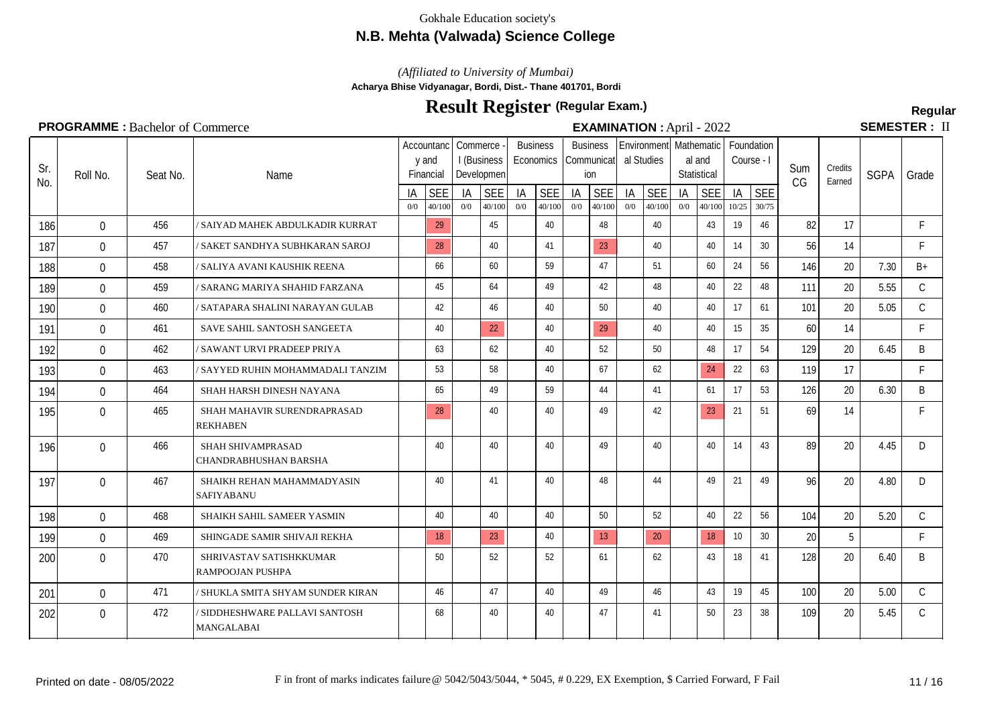## **N.B. Mehta (Valwada) Science College**

*(Affiliated to University of Mumbai)*

**Acharya Bhise Vidyanagar, Bordi, Dist.- Thane 401701, Bordi**

# **Result Register Regular (Regular Exam.)**

**SEMESTER: II** 

#### Seat No.  $\frac{1A}{0}$  SEE Name Accountanc | Commerce y and Financial I (Business Developmen  $\frac{1A}{0}$  SEE **Business Economics**  $\frac{1A}{00}$   $\frac{SEE}{40/100}$ Sum CG **Credits**  $\frac{C$ Farned SGPA Grade **Business** Communicat ion  $\frac{1A}{0}$  SEE Environment Mathematic Foundation al Studies  $\frac{1A}{0}$  SEE al and **Statistical**  $\frac{1A}{0}$  SEE Course - I  $\frac{1}{10^{25}} \frac{\text{SEE}}{\frac{30}{75}}$ 0/0 40/100 0/0 40/100 0/0 40/100 0/0 40/100 0/0 40/100 0/0 40/100 10/25 30/75 Sr.  $\begin{bmatrix} 31. \\ \text{N0.} \end{bmatrix}$  Roll No. 186 0 456 / SAIYAD MAHEK ABDULKADIR KURRAT | 29 45 45 40 48 48 40 48 40 43 19 46 82 17 F 187 0 457 *|/* SAKET SANDHYA SUBHKARAN SAROJ | 28 | 40 | 41 | 23 | 40 | 40 | 14 | 30 | 56 | 14 | F 188 0 458 / SALIYA AVANI KAUSHIK REENA | 66 | 60 | 59 | 47 | 51 | 60 | 24 | 56 | 146 | 20 | 7.30 | B+ 189 0 459 *| S*ARANG MARIYA SHAHID FARZANA | 45 | 64 | 49 | 42 | 48 | 40 | 22 | 48 | 111 | 20 | 5.55 | C 190 0 460 / SATAPARA SHALINI NARAYAN GULAB 42 44 46 40 50 40 40 40 40 17 61 101 20 5.05 C 191 0 461 SAVE SAHIL SANTOSH SANGEETA | 40 22 40 29 40 40 15 35 60 14 F 192 0 462 / SAWANT URVI PRADEEP PRIYA | 63 | 63 | 40 | 52 | 50 | 48 | 17 | 54 | 129 20 | 6.45 | B 193 0 463 / SAYYED RUHIN MOHAMMADALI TANZIM 53 58 40 67 67 62 424 22 63 119 17 F 194 0 464 SHAH HARSH DINESH NAYANA | 65 | 49 | 59 | 44 | 41 | 61 | 17 | 53 | 126 | 20 | 6.30 | B 195 0 465 SHAH MAHAVIR SURENDRAPRASAD | 28 40 40 49 49 42 23 21 51 69 14 F REKHABEN 196 0 466 SHAH SHIVAMPRASAD CHANDRABHUSHAN BARSHA 0 466 40 40 40 49 40 40 14 43 89 20 4.45 D 197 0 467 SHAIKH REHAN MAHAMMADYASIN | 40 41 40 48 48 48 49 21 49 21 49 20 4.80 D SAFIYABANU 198 0 468 SHAIKH SAHIL SAMEER YASMIN | 40 | 40 | 40 | 50 | 52 | 40 | 22 | 56 | 104 | 20 | 5.20 | C 199 0 469 SHINGADE SAMIR SHIVAJI REKHA 18 18 23 40 13 20 18 18 10 30 20 5 F 200 0 470 SHRIVASTAV SATISHKKUMAR | 50 | 52 | 52 | 61 | 62 | 43 | 18 | 41 | 128 | 20 | 6.40 | B RAMPOOJAN PUSHPA 201 0 471 / SHUKLA SMITA SHYAM SUNDER KIRAN 1 46 47 40 49 49 46 46 447 46 43 19 45 100 20 5.00 C 202 0 472 SIDDHESHWARE PALLAVI SANTOSH 1 68 40 40 47 47 41 50 23 38 109 20 5.45 C MANGALABAI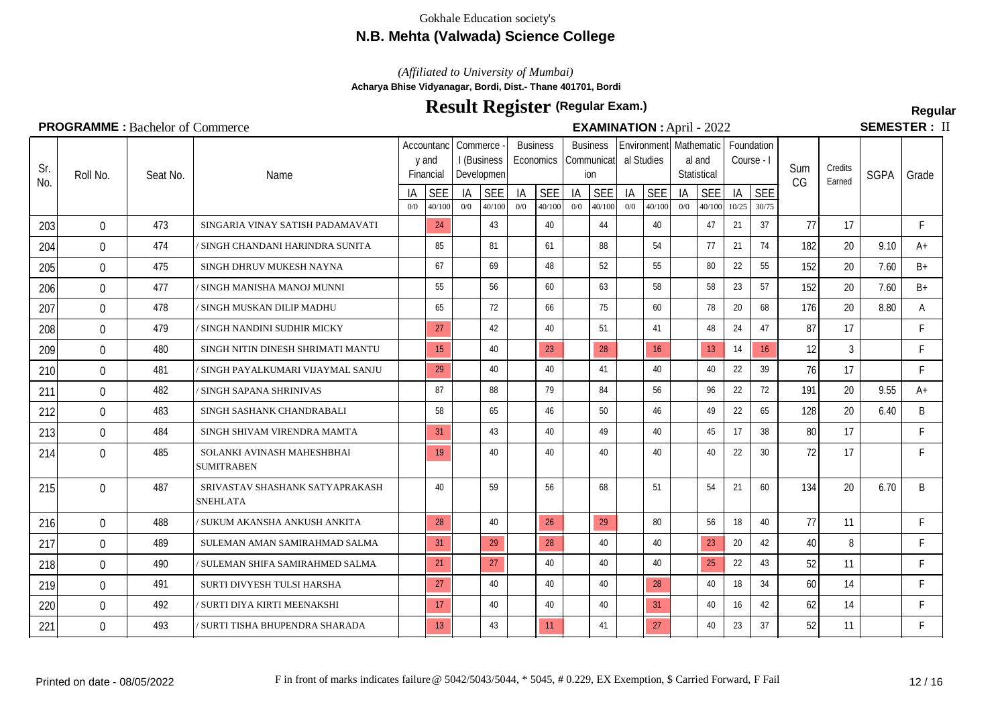## **N.B. Mehta (Valwada) Science College**

*(Affiliated to University of Mumbai)*

**Acharya Bhise Vidyanagar, Bordi, Dist.- Thane 401701, Bordi**

# **Result Register Regular (Regular Exam.)**

**SEMESTER: II** 

| Sr.<br>No. | Roll No.         | Seat No. | Name                                               |           | Accountanc<br>y and<br>Financial | Commerce  | I (Business<br>Developmen | <b>Business</b> | Economics            |           | <b>Business</b><br>Communicat<br>ion |           | al Studies           |           | Environment   Mathematic<br>al and<br>Statistical | Course - I  | Foundation          | Sum<br>CG | Credits<br>Earned | <b>SGPA</b> | Grade |
|------------|------------------|----------|----------------------------------------------------|-----------|----------------------------------|-----------|---------------------------|-----------------|----------------------|-----------|--------------------------------------|-----------|----------------------|-----------|---------------------------------------------------|-------------|---------------------|-----------|-------------------|-------------|-------|
|            |                  |          |                                                    | ΙA<br>0/0 | <b>SEE</b><br>40/100             | IA<br>0/0 | <b>SEE</b><br>40/100      | IA<br>0/0       | <b>SEE</b><br>40/100 | IA<br>0/0 | <b>SEE</b><br>40/100                 | IA<br>0/0 | <b>SEE</b><br>40/100 | IA<br>0/0 | <b>SEE</b><br>40/100                              | IA<br>10/25 | <b>SEE</b><br>30/75 |           |                   |             |       |
| 203        | $\Omega$         | 473      | SINGARIA VINAY SATISH PADAMAVATI                   |           | 24                               |           | 43                        |                 | 40                   |           | 44                                   |           | 40                   |           | 47                                                | 21          | 37                  | 77        | 17                |             | F.    |
| 204        | $\mathbf{0}$     | 474      | ' SINGH CHANDANI HARINDRA SUNITA                   |           | 85                               |           | 81                        |                 | 61                   |           | 88                                   |           | 54                   |           | 77                                                | 21          | 74                  | 182       | 20                | 9.10        | $A+$  |
| 205        | $\Omega$         | 475      | SINGH DHRUV MUKESH NAYNA                           |           | 67                               |           | 69                        |                 | 48                   |           | 52                                   |           | 55                   |           | 80                                                | 22          | 55                  | 152       | 20                | 7.60        | $B+$  |
| 206        | $\mathbf{0}$     | 477      | / SINGH MANISHA MANOJ MUNNI                        |           | 55                               |           | 56                        |                 | 60                   |           | 63                                   |           | 58                   |           | 58                                                | 23          | 57                  | 152       | 20                | 7.60        | $B+$  |
| 207        | $\Omega$         | 478      | / SINGH MUSKAN DILIP MADHU                         |           | 65                               |           | 72                        |                 | 66                   |           | 75                                   |           | 60                   |           | 78                                                | 20          | 68                  | 176       | 20                | 8.80        | A     |
| 208        | $\mathbf 0$      | 479      | / SINGH NANDINI SUDHIR MICKY                       |           | 27                               |           | 42                        |                 | 40                   |           | 51                                   |           | 41                   |           | 48                                                | 24          | 47                  | 87        | 17                |             | F.    |
| 209        | $\mathbf 0$      | 480      | SINGH NITIN DINESH SHRIMATI MANTU                  |           | 15                               |           | 40                        |                 | 23                   |           | 28                                   |           | 16                   |           | 13 <sup>°</sup>                                   | 14          | 16                  | 12        | 3                 |             | F.    |
| 210        | $\boldsymbol{0}$ | 481      | / SINGH PAYALKUMARI VIJAYMAL SANJU                 |           | 29                               |           | 40                        |                 | 40                   |           | 41                                   |           | 40                   |           | 40                                                | 22          | 39                  | 76        | 17                |             | F.    |
| 211        | $\mathbf{0}$     | 482      | / SINGH SAPANA SHRINIVAS                           |           | 87                               |           | 88                        |                 | 79                   |           | 84                                   |           | 56                   |           | 96                                                | 22          | 72                  | 191       | 20 <sup>°</sup>   | 9.55        | $A+$  |
| 212        | $\Omega$         | 483      | SINGH SASHANK CHANDRABALI                          |           | 58                               |           | 65                        |                 | 46                   |           | 50                                   |           | 46                   |           | 49                                                | 22          | 65                  | 128       | 20                | 6.40        | B     |
| 213        | $\mathbf{0}$     | 484      | SINGH SHIVAM VIRENDRA MAMTA                        |           | 31                               |           | 43                        |                 | 40                   |           | 49                                   |           | 40                   |           | 45                                                | 17          | 38                  | 80        | 17                |             | F.    |
| 214        | $\mathbf{0}$     | 485      | SOLANKI AVINASH MAHESHBHAI<br><b>SUMITRABEN</b>    |           | 19                               |           | 40                        |                 | 40                   |           | 40                                   |           | 40                   |           | 40                                                | 22          | 30                  | 72        | 17                |             | F.    |
| 215        | $\Omega$         | 487      | SRIVASTAV SHASHANK SATYAPRAKASH<br><b>SNEHLATA</b> |           | 40                               |           | 59                        |                 | 56                   |           | 68                                   |           | 51                   |           | 54                                                | 21          | 60                  | 134       | 20                | 6.70        | B     |
| 216        | $\Omega$         | 488      | / SUKUM AKANSHA ANKUSH ANKITA                      |           | 28                               |           | 40                        |                 | 26                   |           | 29                                   |           | 80                   |           | 56                                                | 18          | 40                  | 77        | 11                |             | F.    |
| 217        | $\mathbf{0}$     | 489      | SULEMAN AMAN SAMIRAHMAD SALMA                      |           | 31                               |           | 29                        |                 | 28                   |           | 40                                   |           | 40                   |           | 23                                                | 20          | 42                  | 40        | 8                 |             | F.    |
| 218        | $\Omega$         | 490      | / SULEMAN SHIFA SAMIRAHMED SALMA                   |           | 21                               |           | 27                        |                 | 40                   |           | 40                                   |           | 40                   |           | 25                                                | 22          | 43                  | 52        | 11                |             | F.    |
| 219        | $\mathbf{0}$     | 491      | SURTI DIVYESH TULSI HARSHA                         |           | 27                               |           | 40                        |                 | 40                   |           | 40                                   |           | 28                   |           | 40                                                | 18          | 34                  | 60        | 14                |             | F.    |
| 220        | $\mathbf{0}$     | 492      | / SURTI DIYA KIRTI MEENAKSHI                       |           | 17                               |           | 40                        |                 | 40                   |           | 40                                   |           | 31                   |           | 40                                                | 16          | 42                  | 62        | 14                |             | F.    |
| 221        | $\mathbf{0}$     | 493      | / SURTI TISHA BHUPENDRA SHARADA                    |           | 13                               |           | 43                        |                 | 11                   |           | 41                                   |           | 27                   |           | 40                                                | 23          | 37                  | 52        | 11                |             | F.    |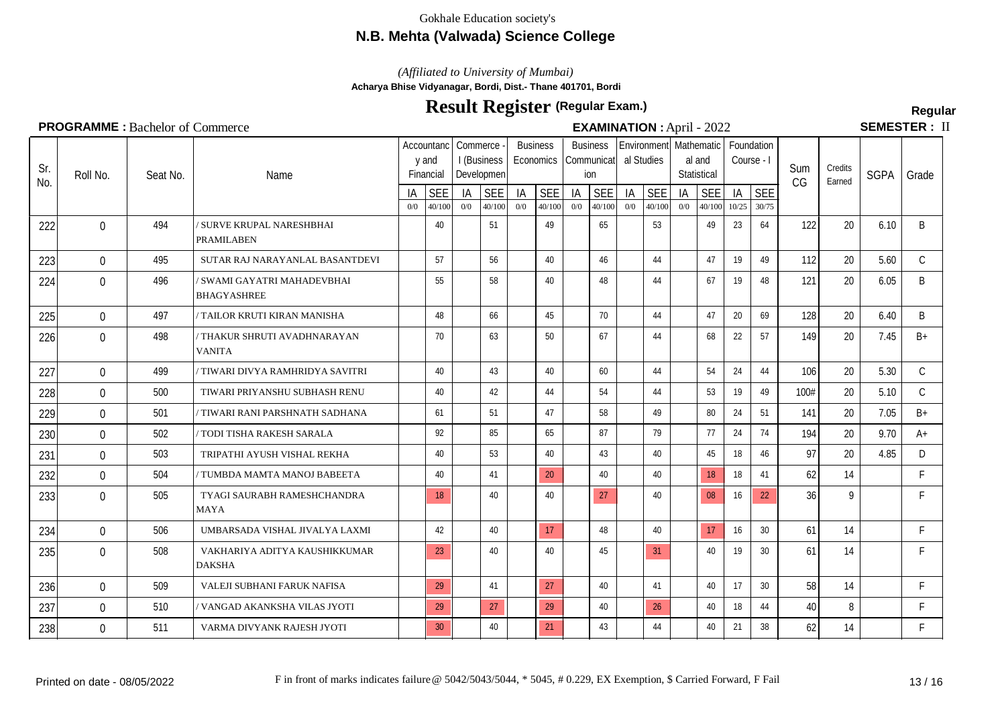## **N.B. Mehta (Valwada) Science College**

*(Affiliated to University of Mumbai)*

**Acharya Bhise Vidyanagar, Bordi, Dist.- Thane 401701, Bordi**

# **Result Register Regular (Regular Exam.)**

SEMESTER: II

| Sr.<br>No. | Roll No.     | Seat No. | Name                                              |           | Accountanc<br>y and<br>Financial | Commerce  | I (Business<br>Developmen |           | <b>Business</b><br>Economics |           | <b>Business</b><br>Communicat<br>ion |           | Environment<br>al Studies |           | Mathematic<br>al and<br>Statistical | Foundation<br>Course - I |                     | Sum<br>CG | Credits<br>Earned | <b>SGPA</b> | Grade         |
|------------|--------------|----------|---------------------------------------------------|-----------|----------------------------------|-----------|---------------------------|-----------|------------------------------|-----------|--------------------------------------|-----------|---------------------------|-----------|-------------------------------------|--------------------------|---------------------|-----------|-------------------|-------------|---------------|
|            |              |          |                                                   | ΙA<br>0/0 | <b>SEE</b><br>40/100             | IA<br>0/0 | <b>SEE</b><br>40/100      | IA<br>0/0 | <b>SEE</b><br>40/100         | IA<br>0/0 | <b>SEE</b><br>40/100                 | IA<br>0/0 | <b>SEE</b><br>40/100      | IA<br>0/0 | <b>SEE</b><br>40/100                | IA<br>10/25              | <b>SEE</b><br>30/75 |           |                   |             |               |
| 222        | $\mathbf{0}$ | 494      | SURVE KRUPAL NARESHBHAI<br>PRAMILABEN             |           | 40                               |           | 51                        |           | 49                           |           | 65                                   |           | 53                        |           | 49                                  | 23                       | 64                  | 122       | 20                | 6.10        | B             |
| 223        | $\mathbf 0$  | 495      | SUTAR RAJ NARAYANLAL BASANTDEVI                   |           | 57                               |           | 56                        |           | 40                           |           | 46                                   |           | 44                        |           | 47                                  | 19                       | 49                  | 112       | 20                | 5.60        | $\mathcal{C}$ |
| 224        | $\Omega$     | 496      | / SWAMI GAYATRI MAHADEVBHAI<br><b>BHAGYASHREE</b> |           | 55                               |           | 58                        |           | 40                           |           | 48                                   |           | 44                        |           | 67                                  | 19                       | 48                  | 121       | 20                | 6.05        | B             |
| 225        | $\mathbf 0$  | 497      | TAILOR KRUTI KIRAN MANISHA                        |           | 48                               |           | 66                        |           | 45                           |           | 70                                   |           | 44                        |           | 47                                  | 20                       | 69                  | 128       | 20                | 6.40        | B             |
| 226        | $\mathbf 0$  | 498      | ' THAKUR SHRUTI AVADHNARAYAN<br><b>VANITA</b>     |           | 70                               |           | 63                        |           | 50                           |           | 67                                   |           | 44                        |           | 68                                  | 22                       | 57                  | 149       | 20                | 7.45        | $B+$          |
| 227        | $\Omega$     | 499      | TIWARI DIVYA RAMHRIDYA SAVITRI                    |           | 40                               |           | 43                        |           | 40                           |           | 60                                   |           | 44                        |           | 54                                  | 24                       | 44                  | 106       | 20                | 5.30        | $\mathsf{C}$  |
| 228        | $\mathbf 0$  | 500      | TIWARI PRIYANSHU SUBHASH RENU                     |           | 40                               |           | 42                        |           | 44                           |           | 54                                   |           | 44                        |           | 53                                  | 19                       | 49                  | 100#      | 20                | 5.10        | $\mathsf{C}$  |
| 229        | $\Omega$     | 501      | TIWARI RANI PARSHNATH SADHANA                     |           | 61                               |           | 51                        |           | 47                           |           | 58                                   |           | 49                        |           | 80                                  | 24                       | 51                  | 141       | 20                | 7.05        | $B+$          |
| 230        | $\mathbf 0$  | 502      | TODI TISHA RAKESH SARALA                          |           | 92                               |           | 85                        |           | 65                           |           | 87                                   |           | 79                        |           | 77                                  | 24                       | 74                  | 194       | 20                | 9.70        | $A+$          |
| 231        | $\mathbf 0$  | 503      | TRIPATHI AYUSH VISHAL REKHA                       |           | 40                               |           | 53                        |           | 40                           |           | 43                                   |           | 40                        |           | 45                                  | 18                       | 46                  | 97        | 20                | 4.85        | D             |
| 232        | $\mathbf{0}$ | 504      | TUMBDA MAMTA MANOJ BABEETA                        |           | 40                               |           | 41                        |           | 20                           |           | 40                                   |           | 40                        |           | 18                                  | 18                       | 41                  | 62        | 14                |             | F.            |
| 233        | $\Omega$     | 505      | TYAGI SAURABH RAMESHCHANDRA<br><b>MAYA</b>        |           | 18                               |           | 40                        |           | 40                           |           | 27                                   |           | 40                        |           | 08                                  | 16                       | 22                  | 36        | 9                 |             | F.            |
| 234        | $\mathbf 0$  | 506      | UMBARSADA VISHAL JIVALYA LAXMI                    |           | 42                               |           | 40                        |           | 17                           |           | 48                                   |           | 40                        |           | 17                                  | 16                       | 30                  | 61        | 14                |             | F.            |
| 235        | $\mathbf 0$  | 508      | VAKHARIYA ADITYA KAUSHIKKUMAR<br><b>DAKSHA</b>    |           | 23                               |           | 40                        |           | 40                           |           | 45                                   |           | 31                        |           | 40                                  | 19                       | 30                  | 61        | 14                |             | F             |
| 236        | $\Omega$     | 509      | VALEJI SUBHANI FARUK NAFISA                       |           | 29                               |           | 41                        |           | 27                           |           | 40                                   |           | 41                        |           | 40                                  | 17                       | 30                  | 58        | 14                |             | F.            |
| 237        | $\Omega$     | 510      | VANGAD AKANKSHA VILAS JYOTI                       |           | 29                               |           | 27                        |           | 29                           |           | 40                                   |           | 26                        |           | 40                                  | 18                       | 44                  | 40        | 8                 |             | F             |
| 238        | $\mathbf 0$  | 511      | VARMA DIVYANK RAJESH JYOTI                        |           | 30                               |           | 40                        |           | 21                           |           | 43                                   |           | 44                        |           | 40                                  | 21                       | 38                  | 62        | 14                |             | F.            |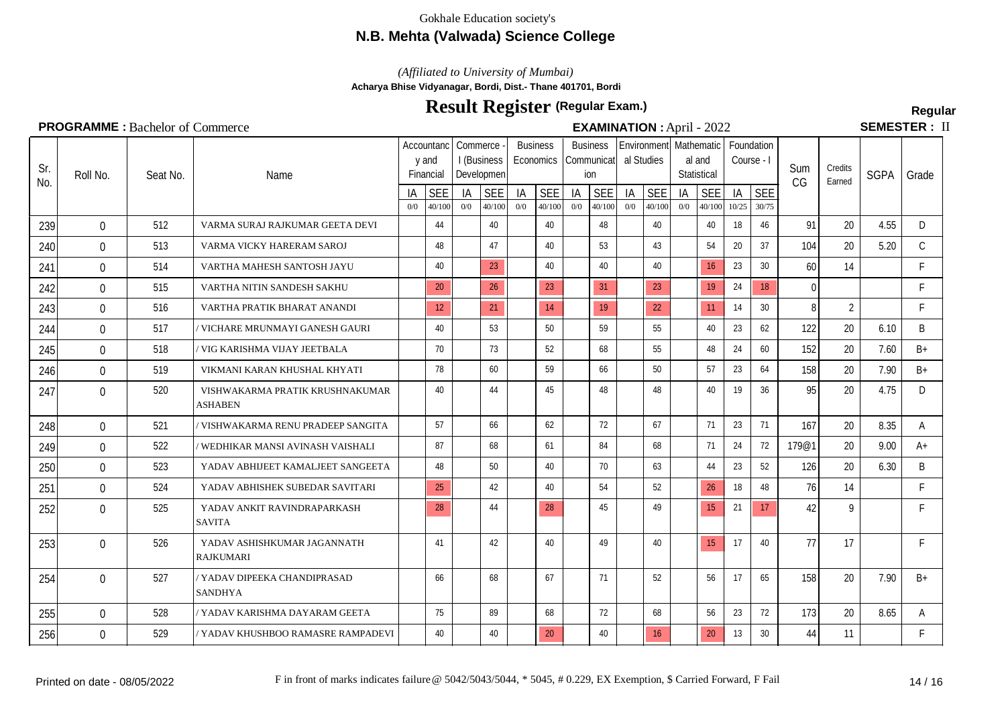## **N.B. Mehta (Valwada) Science College**

*(Affiliated to University of Mumbai)*

**Acharya Bhise Vidyanagar, Bordi, Dist.- Thane 401701, Bordi**

# **Result Register Regular (Regular Exam.)**

**SEMESTER: II** 

#### Seat No.  $\frac{1A}{0}$  SEE Name Accountanc | Commerce y and Financial I (Business Developmen  $\frac{1A}{0}$  SEE **Business Economics**  $\frac{1A}{00}$   $\frac{SEE}{40/100}$ Sum CG **Credits**  $\frac{C$ Farned SGPA Grade **Business** Communicat ion  $\frac{1A}{0}$  SEE Environment Mathematic Foundation al Studies  $\frac{1A}{0}$  SEE al and **Statistical**  $\frac{1A}{0}$  SEE Course - I  $\frac{1}{10^{25}} \frac{\text{SEE}}{\frac{30}{75}}$ 0/0 40/100 0/0 40/100 0/0 40/100 0/0 40/100 0/0 40/100 0/0 40/100 10/25 30/75 Sr.  $\begin{bmatrix} 31. \\ \text{N0.} \end{bmatrix}$  Roll No. 239 0 512 VARMA SURAJ RAJKUMAR GEETA DEVI 44 40 40 40 48 40 40 40 40 18 46 91 20 4.55 D 240 0 513 VARMA VICKY HARERAM SAROJ | 48 | 47 | 40 | 53 | 43 | 54 | 20 | 37 | 104 | 20 | 5.20 | C 241 0 514 VARTHA MAHESH SANTOSH JAYU | 40 | 23 | 40 | 40 | 40 | 16 23 | 30 | 60 | 14 | F 242 0 515 VARTHA NITIN SANDESH SAKHU 20 26 26 31 31 32 19 34 34 36 0 1 243 0 516 VARTHA PRATIK BHARAT ANANDI 12 21 14 19 22 11 14 30 8 2 F 244 0 517 / VICHARE MRUNMAYI GANESH GAURI | 40 | 53 | 50 | 59 | 55 | 40 | 23 | 62 | 122 | 20 | 6.10 | B  $245$  0 518 / VIG KARISHMA VIJAY JEETBALA 1 70 73 52 68 55 48 24 60 152 20 7.60 B+ 246 0 519 VIKMANI KARAN KHUSHAL KHYATI 1 78 60 59 66 50 50 51 23 64 158 20 7.90 B+ 247 0 520 | VISHWAKARMA PRATIK KRUSHNAKUMAR | 40 | 44 | 45 | 48 | 48 | 48 | 40 | 19 | 36 | 95 | 20 | 4.75 | D ASHABEN 248 0 521 / VISHWAKARMA RENU PRADEEP SANGITA | 57 | 66 | 62 | 72 | 67 | 71 | 23 | 71 | 167 | 20 | 8.35 | A 249 0 522 / WEDHIKAR MANSI AVINASH VAISHALI 1 87 68 61 61 68 68 71 24 72 179@1 20 9.00 A+ 250 0 523 YADAV ABHIJEET KAMALJEET SANGEETA 48 50 40 70 63 44 23 52 126 20 6.30 B 251 0 524 YADAV ABHISHEK SUBEDAR SAVITARI 25 42 42 40 54 54 52 26 18 48 76 14 F 252 0 525 YADAV ANKIT RAVINDRAPARKASH 28 44 28 45 45 49 15 21 17 42 9 F SAVITA 253 0 526 YADAV ASHISHKUMAR JAGANNATH 1 41 42 40 49 49 40 15 17 40 77 17 17 **RAJKUMARI** 254 0 527 7.90 DIPEEKA CHANDIPRASAD | 66 | 68 | 67 | 71 | 52 | 56 | 17 | 65 | 158 | 20 | 7.90 | B+ SANDHYA 255 0 528 / YADAV KARISHMA DAYARAM GEETA 1 75 89 68 72 68 68 56 23 72 173 20 8.65 A 256 0 529 7 YADAV KHUSHBOO RAMASRE RAMPADEVI 40 40 40 20 40 40 16 20 31 30 44 11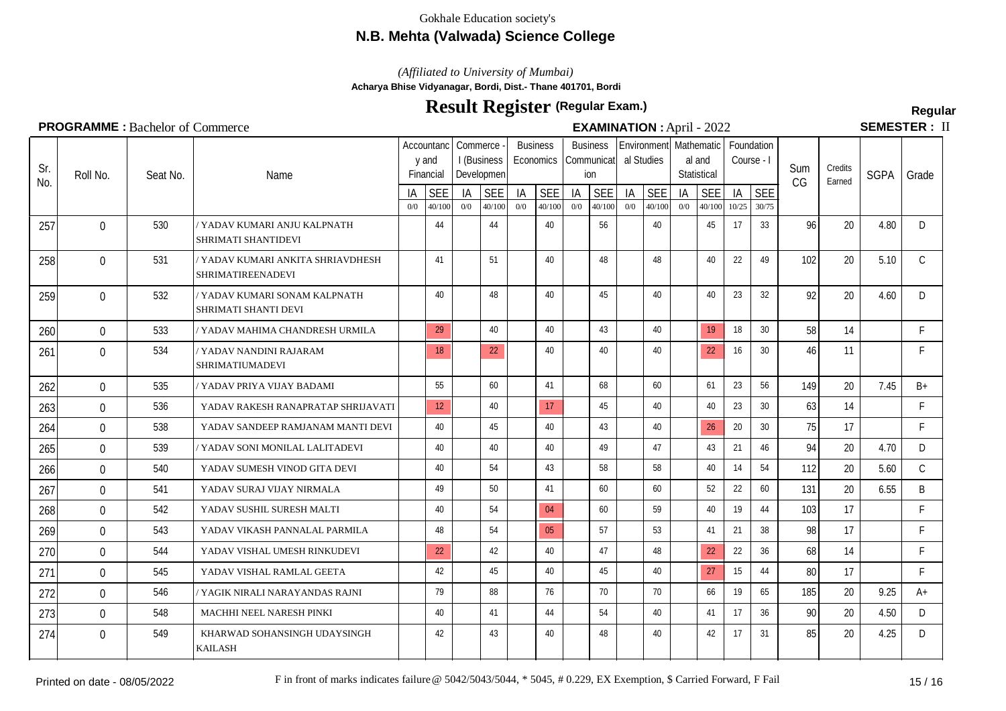## **N.B. Mehta (Valwada) Science College**

*(Affiliated to University of Mumbai)*

**Acharya Bhise Vidyanagar, Bordi, Dist.- Thane 401701, Bordi**

# **Result Register Regular (Regular Exam.)**

SEMESTER: II

## **PROGRAMME** : Bachelor of Commerce **EXAMINATION** : April - 2022

|            | <b>FROGRAMME.</b> Bachelor of Commerce |          |                                                       |           |                                  |           |                           |           |                              |           |                                      |           |                      | <b>EAAMINATION</b> : April - $2022$ |                                                 |             |                          |           | JEIVIEJIEN.       |             |               |
|------------|----------------------------------------|----------|-------------------------------------------------------|-----------|----------------------------------|-----------|---------------------------|-----------|------------------------------|-----------|--------------------------------------|-----------|----------------------|-------------------------------------|-------------------------------------------------|-------------|--------------------------|-----------|-------------------|-------------|---------------|
| Sr.<br>No. | Roll No.                               | Seat No. | Name                                                  |           | Accountanc<br>y and<br>Financial | Commerce  | I (Business<br>Developmen |           | <b>Business</b><br>Economics |           | <b>Business</b><br>Communicat<br>ion |           | al Studies           |                                     | Environment Mathematic<br>al and<br>Statistical |             | Foundation<br>Course - I | Sum<br>CG | Credits<br>Earned | <b>SGPA</b> | Grade         |
|            |                                        |          |                                                       | IA<br>0/0 | <b>SEE</b><br>40/100             | IA<br>0/0 | <b>SEE</b><br>40/100      | IA<br>0/0 | <b>SEE</b><br>40/100         | IA<br>0/0 | <b>SEE</b><br>40/100                 | IA<br>0/0 | <b>SEE</b><br>40/100 | IA<br>0/0                           | <b>SEE</b><br>40/100                            | IA<br>10/25 | <b>SEE</b><br>30/75      |           |                   |             |               |
| 257        | $\Omega$                               | 530      | YADAV KUMARI ANJU KALPNATH<br>SHRIMATI SHANTIDEVI     |           | 44                               |           | 44                        |           | 40                           |           | 56                                   |           | 40                   |                                     | 45                                              | 17          | 33                       | 96        | 20                | 4.80        | D             |
| 258        | $\mathbf 0$                            | 531      | YADAV KUMARI ANKITA SHRIAVDHESH<br>SHRIMATIREENADEVI  |           | 41                               |           | 51                        |           | 40                           |           | 48                                   |           | 48                   |                                     | 40                                              | 22          | 49                       | 102       | 20                | 5.10        | $\mathcal{C}$ |
| 259        | $\overline{0}$                         | 532      | ' YADAV KUMARI SONAM KALPNATH<br>SHRIMATI SHANTI DEVI |           | 40                               |           | 48                        |           | 40                           |           | 45                                   |           | 40                   |                                     | 40                                              | 23          | 32                       | 92        | 20                | 4.60        | D.            |
| 260        | $\overline{0}$                         | 533      | ' YADAV MAHIMA CHANDRESH URMILA                       |           | 29                               |           | 40                        |           | 40                           |           | 43                                   |           | 40                   |                                     | 19                                              | 18          | 30                       | 58        | 14                |             | F             |
| 261        | $\overline{0}$                         | 534      | / YADAV NANDINI RAJARAM<br>SHRIMATIUMADEVI            |           | 18                               |           | 22                        |           | 40                           |           | 40                                   |           | 40                   |                                     | 22                                              | 16          | 30                       | 46        | 11                |             | F             |
| 262        | $\Omega$                               | 535      | YADAV PRIYA VIJAY BADAMI                              |           | 55                               |           | 60                        |           | 41                           |           | 68                                   |           | 60                   |                                     | 61                                              | 23          | 56                       | 149       | 20                | 7.45        | $B+$          |
| 263        | $\overline{0}$                         | 536      | YADAV RAKESH RANAPRATAP SHRIJAVATI                    |           | 12                               |           | 40                        |           | 17                           |           | 45                                   |           | 40                   |                                     | 40                                              | 23          | 30                       | 63        | 14                |             | F             |
| 264        | $\overline{0}$                         | 538      | YADAV SANDEEP RAMJANAM MANTI DEVI                     |           | 40                               |           | 45                        |           | 40                           |           | 43                                   |           | 40                   |                                     | 26                                              | 20          | 30 <sup>°</sup>          | 75        | 17                |             | F             |
| 265        | $\mathbf 0$                            | 539      | YADAV SONI MONILAL LALITADEVI                         |           | 40                               |           | 40                        |           | 40                           |           | 49                                   |           | 47                   |                                     | 43                                              | 21          | 46                       | 94        | 20                | 4.70        | D             |
| 266        | $\mathbf 0$                            | 540      | YADAV SUMESH VINOD GITA DEVI                          |           | 40                               |           | 54                        |           | 43                           |           | 58                                   |           | 58                   |                                     | 40                                              | 14          | 54                       | 112       | 20                | 5.60        | $\mathsf{C}$  |
| 267        | $\mathbf{0}$                           | 541      | YADAV SURAJ VIJAY NIRMALA                             |           | 49                               |           | 50                        |           | 41                           |           | 60                                   |           | 60                   |                                     | 52                                              | 22          | 60                       | 131       | 20                | 6.55        | B             |
| 268        | $\mathbf{0}$                           | 542      | YADAV SUSHIL SURESH MALTI                             |           | 40                               |           | 54                        |           | 04                           |           | 60                                   |           | 59                   |                                     | 40                                              | 19          | 44                       | 103       | 17                |             | F             |
| 269        | $\mathbf{0}$                           | 543      | YADAV VIKASH PANNALAL PARMILA                         |           | 48                               |           | 54                        |           | 05                           |           | 57                                   |           | 53                   |                                     | 41                                              | 21          | 38                       | 98        | 17                |             | F             |
| 270        | $\overline{0}$                         | 544      | YADAV VISHAL UMESH RINKUDEVI                          |           | 22                               |           | 42                        |           | 40                           |           | 47                                   |           | 48                   |                                     | 22                                              | 22          | 36                       | 68        | 14                |             | $\mathsf{F}$  |
| 271        | $\overline{0}$                         | 545      | YADAV VISHAL RAMLAL GEETA                             |           | 42                               |           | 45                        |           | 40                           |           | 45                                   |           | 40                   |                                     | 27                                              | 15          | 44                       | 80        | 17                |             | F             |
| 272        | $\mathbf{0}$                           | 546      | YAGIK NIRALI NARAYANDAS RAJNI                         |           | 79                               |           | 88                        |           | 76                           |           | 70                                   |           | 70                   |                                     | 66                                              | 19          | 65                       | 185       | 20                | 9.25        | $A+$          |
| 273        | $\mathbf{0}$                           | 548      | MACHHI NEEL NARESH PINKI                              |           | 40                               |           | 41                        |           | 44                           |           | 54                                   |           | 40                   |                                     | 41                                              | 17          | 36                       | 90        | 20                | 4.50        | D             |

KAILASH

274 0 549 KHARWAD SOHANSINGH UDAYSINGH | 42 43 43 40 48 48 40 49 42 17 31 85 20 4.25 D